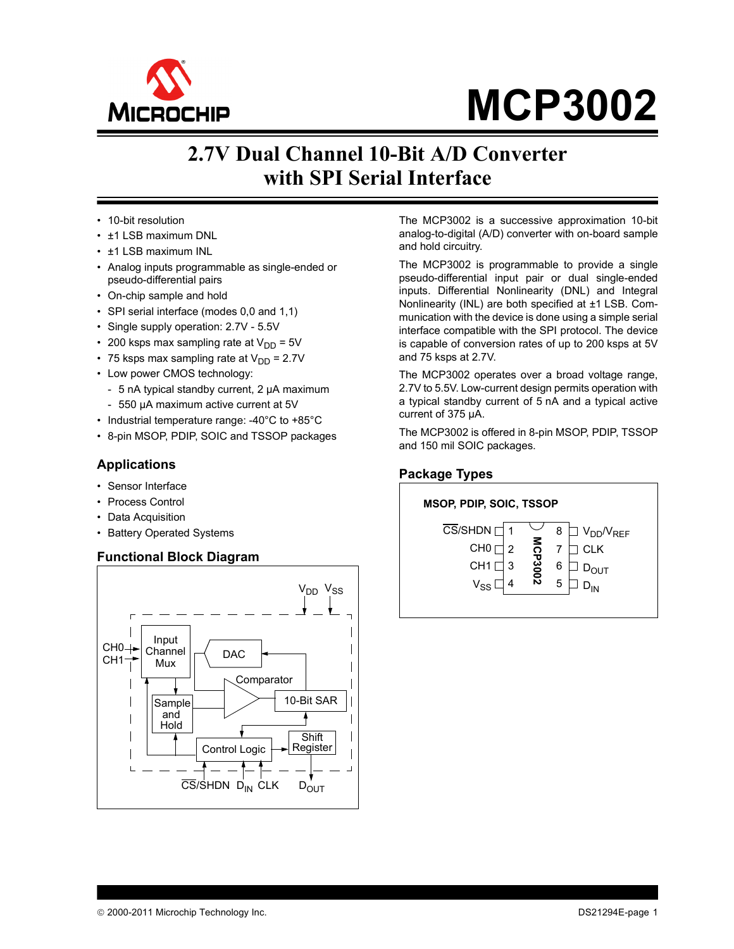

# **MCP3002**

# **2.7V Dual Channel 10-Bit A/D Converter with SPI Serial Interface**

**Description**

• 10-bit resolution

**Features**

- ±1 LSB maximum DNL
- ±1 LSB maximum INL
- Analog inputs programmable as single-ended or pseudo-differential pairs
- On-chip sample and hold
- SPI serial interface (modes 0,0 and 1,1)
- Single supply operation: 2.7V 5.5V
- 200 ksps max sampling rate at  $V_{DD} = 5V$
- 75 ksps max sampling rate at  $V_{DD} = 2.7V$
- Low power CMOS technology:
- 5 nA typical standby current, 2 µA maximum
- 550 µA maximum active current at 5V
- Industrial temperature range: -40°C to +85°C
- 8-pin MSOP, PDIP, SOIC and TSSOP packages

#### **Applications**

- Sensor Interface
- Process Control
- Data Acquisition
- Battery Operated Systems

#### **Functional Block Diagram**



The MCP3002 is a successive approximation 10-bit analog-to-digital (A/D) converter with on-board sample and hold circuitry.

The MCP3002 is programmable to provide a single pseudo-differential input pair or dual single-ended inputs. Differential Nonlinearity (DNL) and Integral Nonlinearity (INL) are both specified at ±1 LSB. Communication with the device is done using a simple serial interface compatible with the SPI protocol. The device is capable of conversion rates of up to 200 ksps at 5V and 75 ksps at 2.7V.

The MCP3002 operates over a broad voltage range, 2.7V to 5.5V. Low-current design permits operation with a typical standby current of 5 nA and a typical active current of 375 µA.

The MCP3002 is offered in 8-pin MSOP, PDIP, TSSOP and 150 mil SOIC packages.

#### **Package Types**

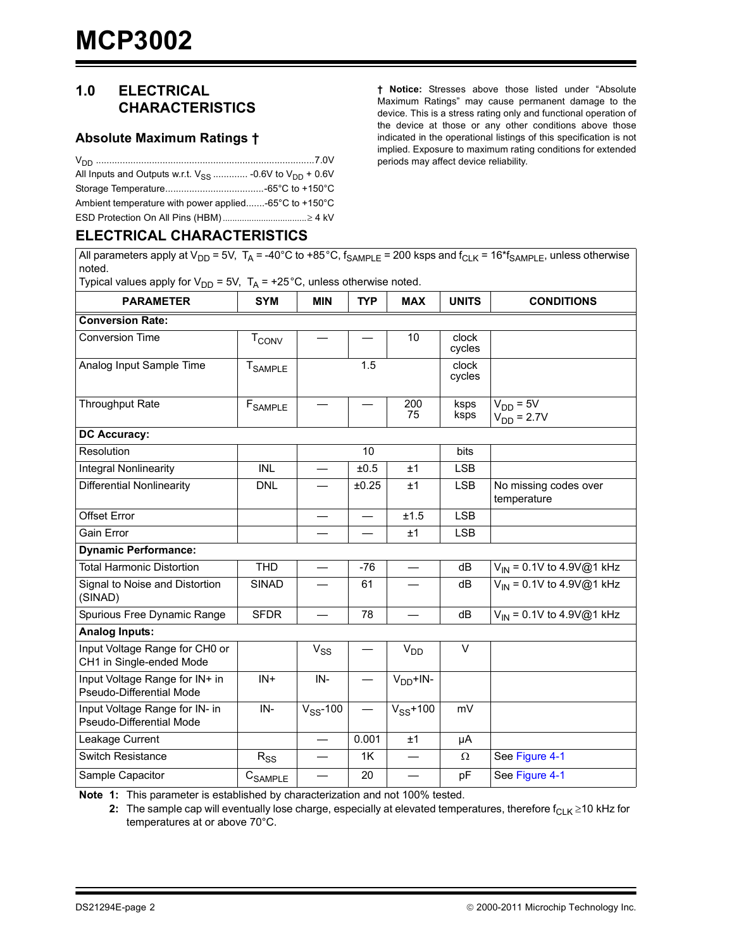### **1.0 ELECTRICAL CHARACTERISTICS**

#### **Absolute Maximum Ratings †**

| All Inputs and Outputs w.r.t. $V_{SS}$ -0.6V to $V_{DD}$ + 0.6V |  |
|-----------------------------------------------------------------|--|
|                                                                 |  |
| Ambient temperature with power applied-65°C to +150°C           |  |
|                                                                 |  |

#### **ELECTRICAL CHARACTERISTICS**

All parameters apply at  $V_{DD}$  = 5V, T<sub>A</sub> = -40°C to +85°C,  $f_{SAMPLE}$  = 200 ksps and  $f_{CLK}$  = 16\* $f_{SAMPLE}$ , unless otherwise noted.

Typical values apply for  $V_{DD} = 5V$ ,  $T_A = +25^{\circ}C$ , unless otherwise noted. PARAMETER SYM MIN TYP MAX UNITS CONDITIONS **Conversion Rate:** Conversion Time  $\vert$  T<sub>CONV</sub>  $\vert$   $\vert$   $\vert$  10  $\vert$  clock cycles Analog Input Sample Time  $T_{SAMPLF}$  1.5 clock cycles Throughput Rate  $\left| \begin{array}{c} F_{\text{SAMPL}} \\ \end{array} \right| = \left| \begin{array}{c} - \\ - \end{array} \right| = 200$ 75 ksps ksps  $V_{DD} = 5V$  $V_{DD}$  = 2.7V **DC Accuracy:** Resolution and 10 bits Integral Nonlinearity  $\vert$  INL  $\vert$   $\vert$  ±0.5  $\vert$   $\vert$   $\vert$  LSB Differential Nonlinearity  $\begin{vmatrix} DW & - & +0.25 & +1 \\ \end{vmatrix}$  LSB No missing codes over temperature Offset Error — — ±1.5 LSB Gain Error | | — | <del>\_</del>\_\_ | <u>+</u>1 | LSB **Dynamic Performance:** Total Harmonic Distortion  $\begin{vmatrix} THD & - & 36 \\ - & - & -76 \end{vmatrix}$  -76  $\begin{vmatrix} - & - & 36 \\ - & - & -14 \end{vmatrix}$  dB  $\begin{vmatrix} V_{1N} = 0.1V \text{ to } 4.9V \text{ @} 1 \text{ kHz} \end{vmatrix}$ Signal to Noise and Distortion (SINAD)  $SIND$   $\begin{array}{|c|c|c|c|c|c|c|c|c|} \hline \end{array}$  61  $\begin{array}{|c|c|c|c|c|c|c|c|} \hline \end{array}$  dB  $\begin{array}{|c|c|c|c|c|c|c|c|} \hline \end{array}$  V<sub>IN</sub> = 0.1V to 4.9V@1 kHz Spurious Free Dynamic Range | SFDR  $\vert$   $\vert$   $\vert$   $\vert$   $\vert$  78  $\vert$   $\vert$   $\vert$   $\vert$  dB  $\vert$   $\vert$   $\vert$   $\vert$   $\vert$  to 4.9V@1 kHz **Analog Inputs:** Input Voltage Range for CH0 or CH1 in Single-ended Mode  $V_{SS}$   $V_{DD}$   $V$ Input Voltage Range for IN+ in Pseudo-Differential Mode  $IN^+$  |  $IN^-$  |  $-$  |  $V_{DD}$ +IN-Input Voltage Range for IN- in Pseudo-Differential Mode  $IN V_{SS}$ -100  $V_{SS}$ +100 mV Leakage Current **Fig. 1** |  $\overline{)}$  |  $\overline{)}$  | 0.001 |  $\pm$ 1 |  $\mu$ A Switch Resistance RSS — 1K — See [Figure 4-1](#page-13-0) Sample Capacitor CSAMPLE — 20 — pF See [Figure 4-1](#page-13-0)

<span id="page-1-1"></span><span id="page-1-0"></span>**Note 1:** This parameter is established by characterization and not 100% tested.

**2:** The sample cap will eventually lose charge, especially at elevated temperatures, therefore  $f_{CLK} \ge 10$  kHz for temperatures at or above 70°C.

**† Notice:** Stresses above those listed under "Absolute Maximum Ratings" may cause permanent damage to the device. This is a stress rating only and functional operation of the device at those or any other conditions above those indicated in the operational listings of this specification is not implied. Exposure to maximum rating conditions for extended periods may affect device reliability.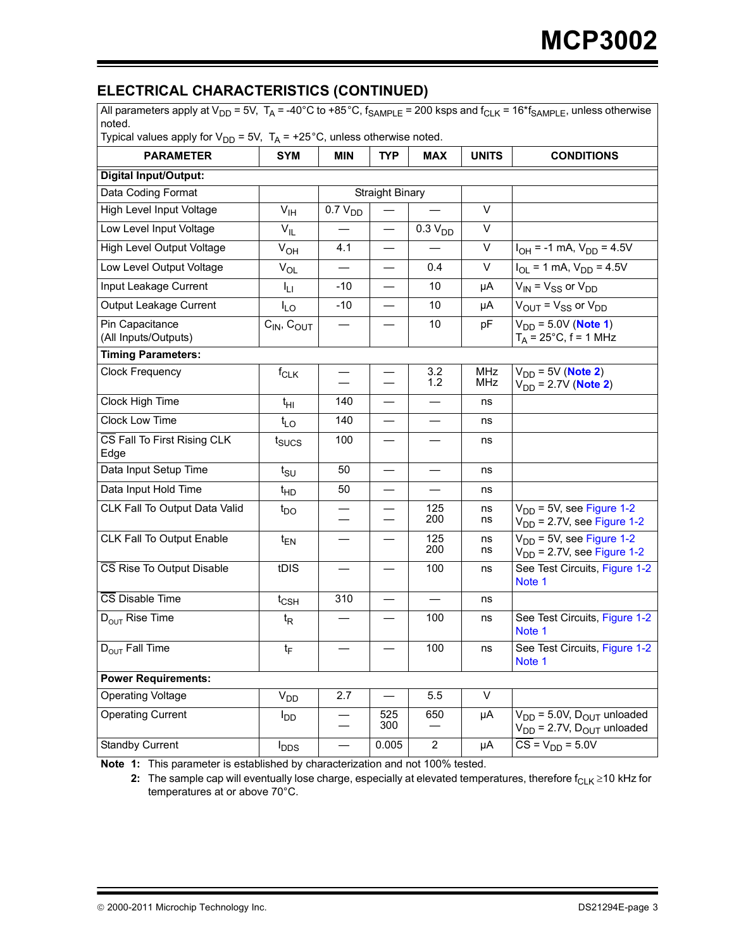# **ELECTRICAL CHARACTERISTICS (CONTINUED)**

| All parameters apply at $V_{DD}$ = 5V, $T_A$ = -40°C to +85°C, $f_{SAMPLE}$ = 200 ksps and $f_{CLK}$ = 16* $f_{SAMPLE}$ , unless otherwise<br>noted.<br>Typical values apply for $V_{DD}$ = 5V, $T_A$ = +25°C, unless otherwise noted. |                            |                     |                          |                          |                   |                                                                             |
|----------------------------------------------------------------------------------------------------------------------------------------------------------------------------------------------------------------------------------------|----------------------------|---------------------|--------------------------|--------------------------|-------------------|-----------------------------------------------------------------------------|
| <b>PARAMETER</b>                                                                                                                                                                                                                       | <b>SYM</b>                 | <b>MIN</b>          | <b>TYP</b>               | <b>MAX</b>               | <b>UNITS</b>      | <b>CONDITIONS</b>                                                           |
| <b>Digital Input/Output:</b>                                                                                                                                                                                                           |                            |                     |                          |                          |                   |                                                                             |
| Data Coding Format                                                                                                                                                                                                                     |                            |                     | <b>Straight Binary</b>   |                          |                   |                                                                             |
| High Level Input Voltage                                                                                                                                                                                                               | $V_{\text{IH}}$            | 0.7 V <sub>DD</sub> |                          |                          | $\vee$            |                                                                             |
| Low Level Input Voltage                                                                                                                                                                                                                | $V_{IL}$                   |                     |                          | 0.3 V <sub>DD</sub>      | $\vee$            |                                                                             |
| High Level Output Voltage                                                                                                                                                                                                              | $V_{OH}$                   | 4.1                 |                          |                          | V                 | $I_{OH}$ = -1 mA, $V_{DD}$ = 4.5V                                           |
| Low Level Output Voltage                                                                                                                                                                                                               | $V_{OL}$                   |                     |                          | 0.4                      | V                 | $I_{OL}$ = 1 mA, $V_{DD}$ = 4.5V                                            |
| Input Leakage Current                                                                                                                                                                                                                  | Iц                         | $-10$               |                          | 10                       | μA                | $V_{IN}$ = $V_{SS}$ or $V_{DD}$                                             |
| Output Leakage Current                                                                                                                                                                                                                 | $I_{LO}$                   | $-10$               | $\overline{\phantom{0}}$ | 10                       | μA                | $V_{\text{OUT}} = V_{\text{SS}}$ or $V_{\text{DD}}$                         |
| Pin Capacitance<br>(All Inputs/Outputs)                                                                                                                                                                                                | $C_{IN}$ , $C_{OUT}$       |                     |                          | 10                       | pF                | $V_{DD} = 5.0V (Note 1)$<br>$T_A = 25^{\circ}C, f = 1$ MHz                  |
| <b>Timing Parameters:</b>                                                                                                                                                                                                              |                            |                     |                          |                          |                   |                                                                             |
| <b>Clock Frequency</b>                                                                                                                                                                                                                 | $f_{CLK}$                  |                     |                          | 3.2<br>1.2               | MHz<br><b>MHz</b> | $V_{DD}$ = 5V (Note 2)<br>$V_{DD}$ = 2.7V (Note 2)                          |
| Clock High Time                                                                                                                                                                                                                        | $t_{\text{HI}}$            | 140                 |                          |                          | ns                |                                                                             |
| Clock Low Time                                                                                                                                                                                                                         | $t_{LO}$                   | 140                 |                          | $\overline{\phantom{0}}$ | ns                |                                                                             |
| CS Fall To First Rising CLK<br>Edge                                                                                                                                                                                                    | t <sub>sucs</sub>          | 100                 |                          |                          | ns                |                                                                             |
| Data Input Setup Time                                                                                                                                                                                                                  | $t_{\text{SU}}$            | 50                  |                          | $\overline{\phantom{0}}$ | ns                |                                                                             |
| Data Input Hold Time                                                                                                                                                                                                                   | $t_{HD}$                   | 50                  |                          |                          | ns                |                                                                             |
| CLK Fall To Output Data Valid                                                                                                                                                                                                          | $t_{DO}$                   |                     |                          | 125<br>200               | ns<br>ns          | $V_{DD}$ = 5V, see Figure 1-2<br>$V_{DD}$ = 2.7V, see Figure 1-2            |
| CLK Fall To Output Enable                                                                                                                                                                                                              | $t_{EN}$                   |                     |                          | 125<br>200               | ns<br>ns          | $V_{DD}$ = 5V, see Figure 1-2<br>$V_{DD}$ = 2.7V, see Figure 1-2            |
| CS Rise To Output Disable                                                                                                                                                                                                              | tDIS                       |                     |                          | 100                      | ns                | See Test Circuits, Figure 1-2<br>Note 1                                     |
| CS Disable Time                                                                                                                                                                                                                        | $t_{\text{CSH}}$           | 310                 |                          |                          | ns                |                                                                             |
| $D_{\text{OUT}}$ Rise Time                                                                                                                                                                                                             | $t_{\mathsf{R}}$           |                     |                          | 100                      | ns                | See Test Circuits, Figure 1-2<br>Note 1                                     |
| $D_{OUT}$ Fall Time                                                                                                                                                                                                                    | $t_F$                      |                     |                          | 100                      | ns                | See Test Circuits, Figure 1-2<br>Note 1                                     |
| <b>Power Requirements:</b>                                                                                                                                                                                                             |                            |                     |                          |                          |                   |                                                                             |
| <b>Operating Voltage</b>                                                                                                                                                                                                               | $\mathsf{V}_{\mathsf{DD}}$ | 2.7                 |                          | 5.5                      | $\vee$            |                                                                             |
| <b>Operating Current</b>                                                                                                                                                                                                               | $I_{DD}$                   |                     | 525<br>300               | 650                      | μA                | $V_{DD} = 5.0V$ , $D_{OUT}$ unloaded<br>$V_{DD}$ = 2.7V, $D_{OUT}$ unloaded |
| Standby Current                                                                                                                                                                                                                        | $I_{\text{DDS}}$           |                     | 0.005                    | $\overline{2}$           | μA                | $CS = V_{DD} = 5.0V$                                                        |

**Note 1:** This parameter is established by characterization and not 100% tested.

**2:** The sample cap will eventually lose charge, especially at elevated temperatures, therefore  $f_{CLK} \ge 10$  kHz for temperatures at or above 70°C.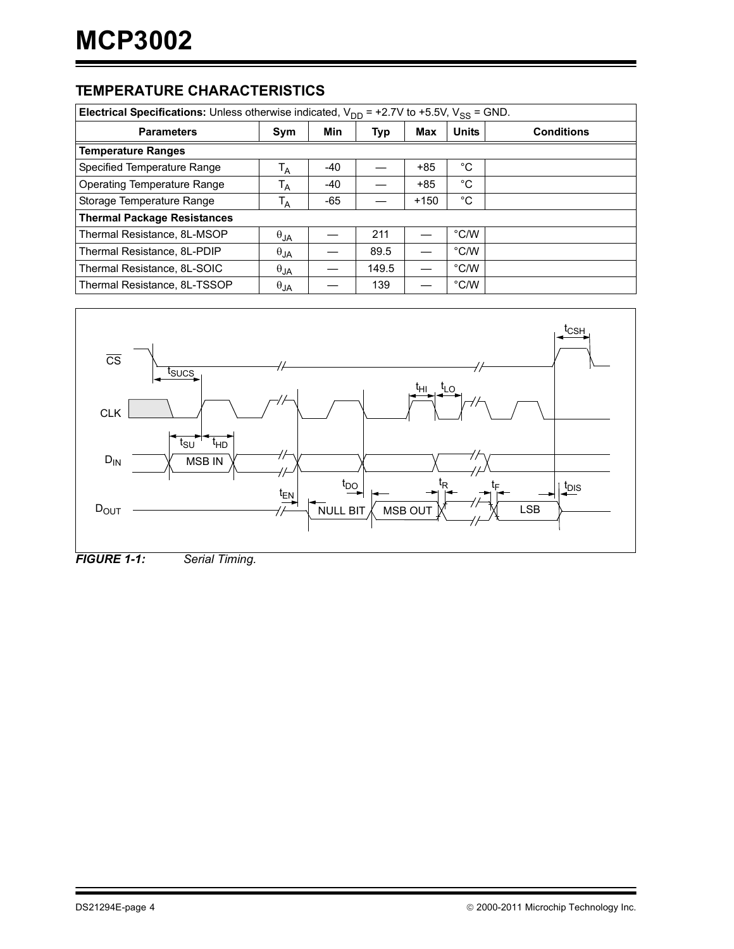### **TEMPERATURE CHARACTERISTICS**

| <b>Electrical Specifications:</b> Unless otherwise indicated, $V_{DD}$ = +2.7V to +5.5V, $V_{SS}$ = GND. |                |       |       |        |               |                   |  |  |
|----------------------------------------------------------------------------------------------------------|----------------|-------|-------|--------|---------------|-------------------|--|--|
| <b>Parameters</b>                                                                                        | Sym            | Min   | Typ   | Max    | <b>Units</b>  | <b>Conditions</b> |  |  |
| <b>Temperature Ranges</b>                                                                                |                |       |       |        |               |                   |  |  |
| Specified Temperature Range                                                                              | T <sub>A</sub> | $-40$ |       | $+85$  | °C            |                   |  |  |
| Operating Temperature Range                                                                              | T <sub>A</sub> | -40   |       | $+85$  | °C            |                   |  |  |
| Storage Temperature Range                                                                                | T <sub>A</sub> | -65   |       | $+150$ | °C            |                   |  |  |
| <b>Thermal Package Resistances</b>                                                                       |                |       |       |        |               |                   |  |  |
| Thermal Resistance, 8L-MSOP                                                                              | $\theta_{JA}$  |       | 211   |        | $\degree$ C/W |                   |  |  |
| Thermal Resistance, 8L-PDIP                                                                              | $\theta_{JA}$  |       | 89.5  |        | $\degree$ C/W |                   |  |  |
| Thermal Resistance, 8L-SOIC                                                                              | $\theta$ JA    |       | 149.5 |        | °C/W          |                   |  |  |
| Thermal Resistance, 8L-TSSOP                                                                             | $\theta_{JA}$  |       | 139   |        | °C/W          |                   |  |  |



*FIGURE 1-1: Serial Timing.*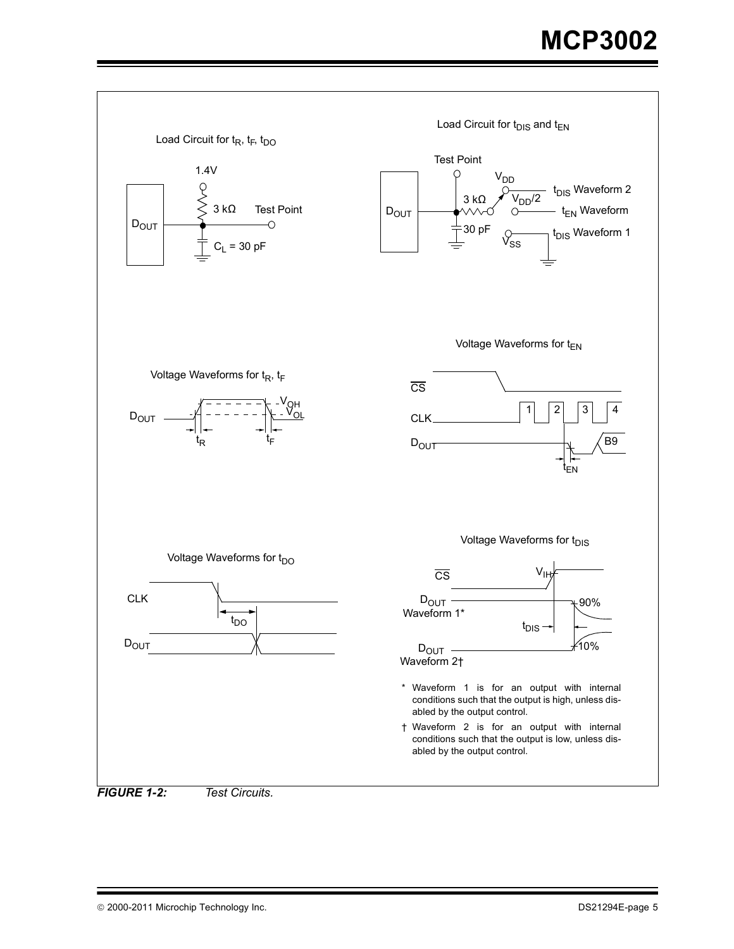<span id="page-4-0"></span>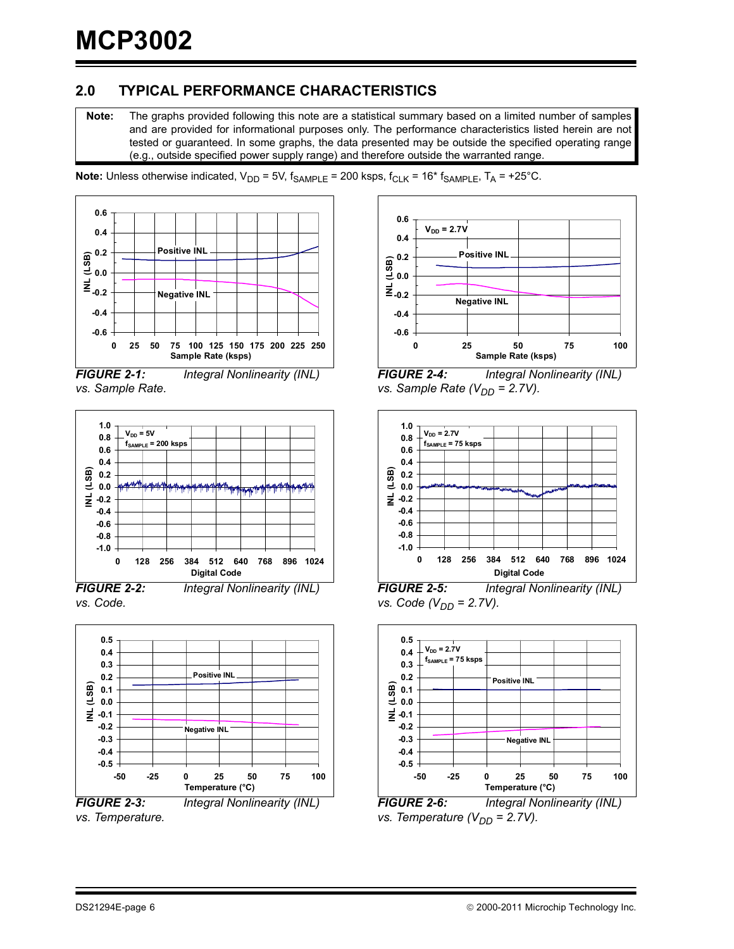# **2.0 TYPICAL PERFORMANCE CHARACTERISTICS**

**Note:** The graphs provided following this note are a statistical summary based on a limited number of samples and are provided for informational purposes only. The performance characteristics listed herein are not tested or guaranteed. In some graphs, the data presented may be outside the specified operating range (e.g., outside specified power supply range) and therefore outside the warranted range.

**Note:** Unless otherwise indicated,  $V_{DD} = 5V$ ,  $f_{SAMPLE} = 200$  ksps,  $f_{CLK} = 16*$   $f_{SAMPLE}$ ,  $T_A = +25°C$ .



*vs. Sample Rate.*



*FIGURE 2-2: Integral Nonlinearity (INL) vs. Code.*



*vs. Temperature.*



*FIGURE 2-4: Integral Nonlinearity (INL) vs. Sample Rate (V<sub>DD</sub> = 2.7V).* 



*FIGURE 2-5: Integral Nonlinearity (INL) vs. Code (V<sub>DD</sub> = 2.7V).* 



*FIGURE 2-6: Integral Nonlinearity (INL) vs. Temperature (V<sub>DD</sub> = 2.7V).*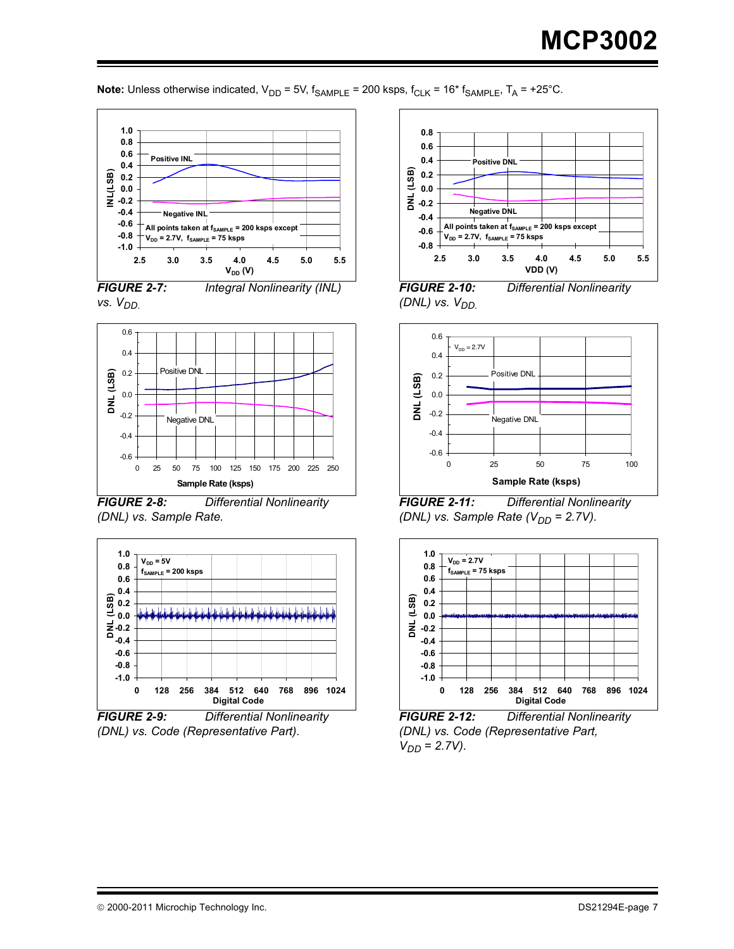**Note:** Unless otherwise indicated,  $V_{DD} = 5V$ ,  $f_{SAMPL} = 200$  ksps,  $f_{CLK} = 16*$   $f_{SAMPL}$ ,  $T_A = +25°C$ .







*FIGURE 2-8: Differential Nonlinearity (DNL) vs. Sample Rate.*



*FIGURE 2-9: Differential Nonlinearity (DNL) vs. Code (Representative Part).*



*FIGURE 2-10: Differential Nonlinearity (DNL) vs.*  $V_{DD}$ .



*FIGURE 2-11: Differential Nonlinearity (DNL) vs. Sample Rate*  $(V_{DD} = 2.7V)$ *.* 



*FIGURE 2-12: Differential Nonlinearity (DNL) vs. Code (Representative Part,*   $V_{DD} = 2.7V$ .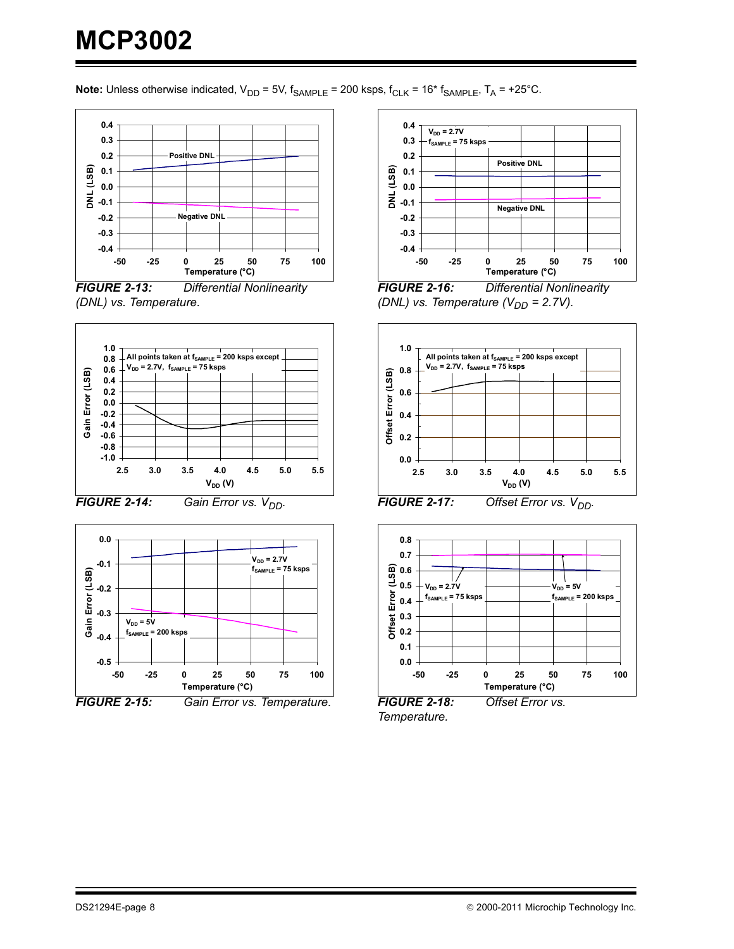**Note:** Unless otherwise indicated,  $V_{DD} = 5V$ ,  $f_{SAMPL} = 200$  ksps,  $f_{CLK} = 16*$   $f_{SAMPL}$ ,  $T_A = +25°C$ .







*FIGURE 2-14: Gain Error vs.*  $V_{DD}$ .







*FIGURE 2-16: Differential Nonlinearity (DNL) vs. Temperature (V<sub>DD</sub> = 2.7V).* 



*FIGURE 2-17: Offset Error vs. V<sub>DD</sub>.* 



*Temperature.*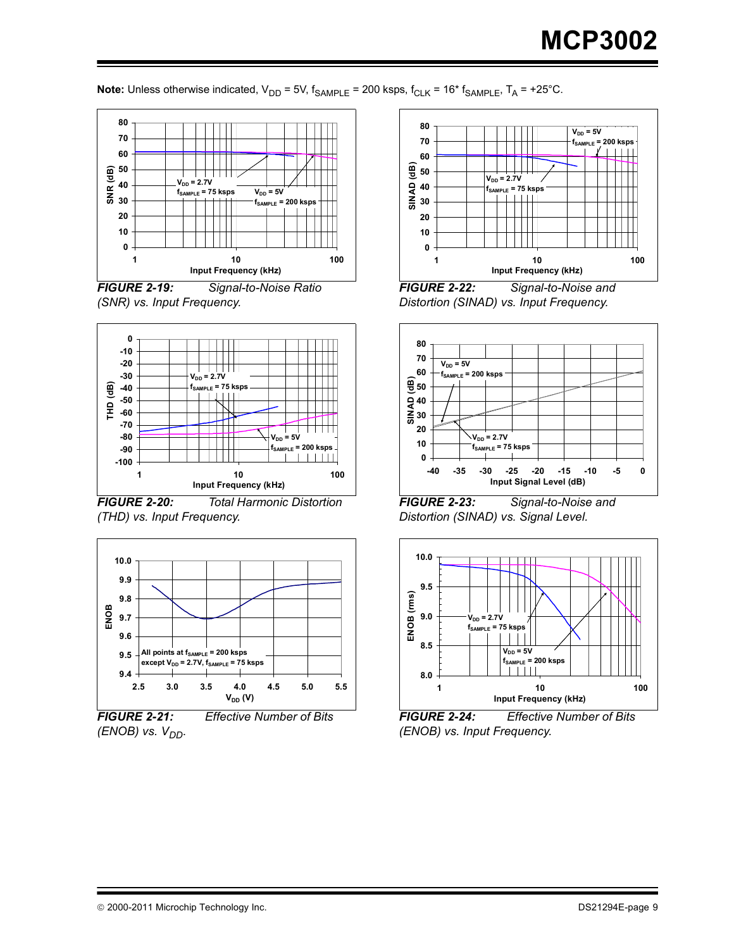**Note:** Unless otherwise indicated,  $V_{DD} = 5V$ ,  $f_{SAMPL} = 200$  ksps,  $f_{CLK} = 16*$   $f_{SAMPL}$ ,  $T_A = +25°C$ .







*FIGURE 2-20: Total Harmonic Distortion (THD) vs. Input Frequency.*



*FIGURE 2-21: Effective Number of Bits (ENOB) vs. V<sub>DD</sub>.* 



*FIGURE 2-22: Signal-to-Noise and Distortion (SINAD) vs. Input Frequency.*



*FIGURE 2-23: Signal-to-Noise and Distortion (SINAD) vs. Signal Level.*



*FIGURE 2-24: Effective Number of Bits (ENOB) vs. Input Frequency.*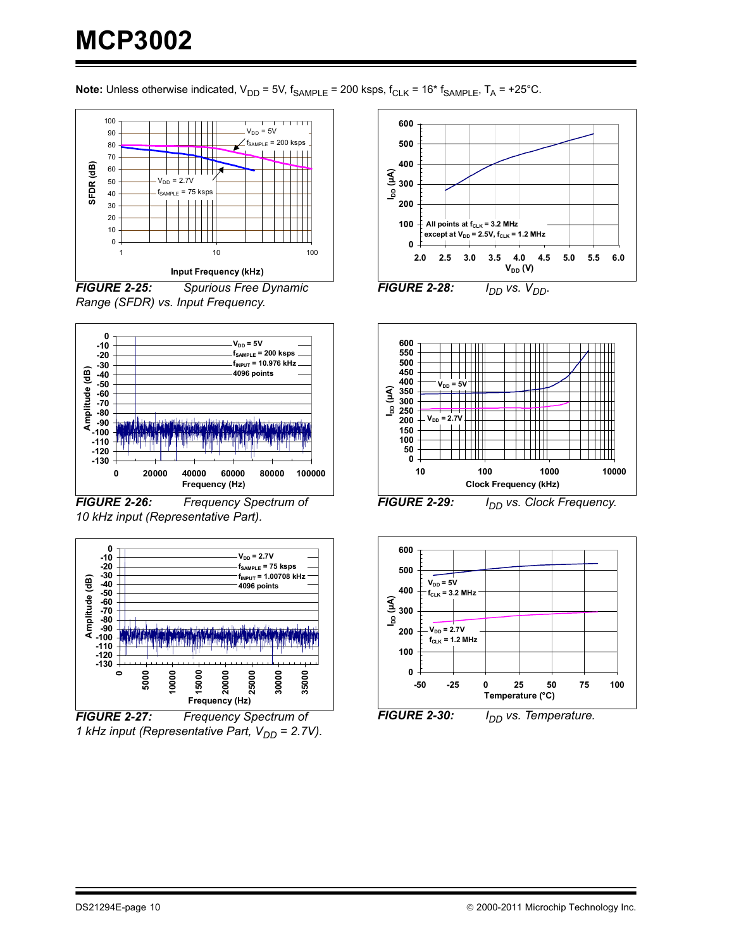# **MCP3002**

**Note:** Unless otherwise indicated,  $V_{DD} = 5V$ ,  $f_{SAMPLE} = 200$  ksps,  $f_{CLK} = 16*$   $f_{SAMPLE}$ ,  $T_A = +25°C$ .



*Range (SFDR) vs. Input Frequency.*



*FIGURE 2-26: Frequency Spectrum of 10 kHz input (Representative Part).*



*FIGURE 2-27: Frequency Spectrum of 1 kHz input (Representative Part, V<sub>DD</sub> = 2.7V).* 





**FIGURE 2-29:** *I<sub>DD</sub> vs. Clock Frequency.* 



**FIGURE 2-30:** *I<sub>DD</sub>* vs. Temperature.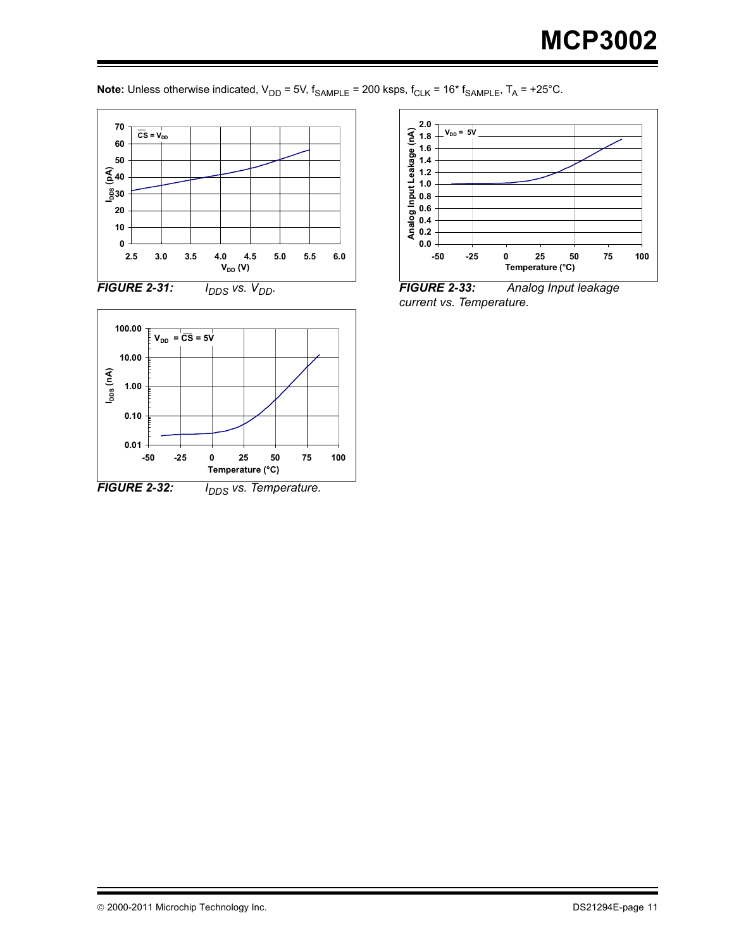





*FIGURE 2-33: Analog Input leakage current vs. Temperature.*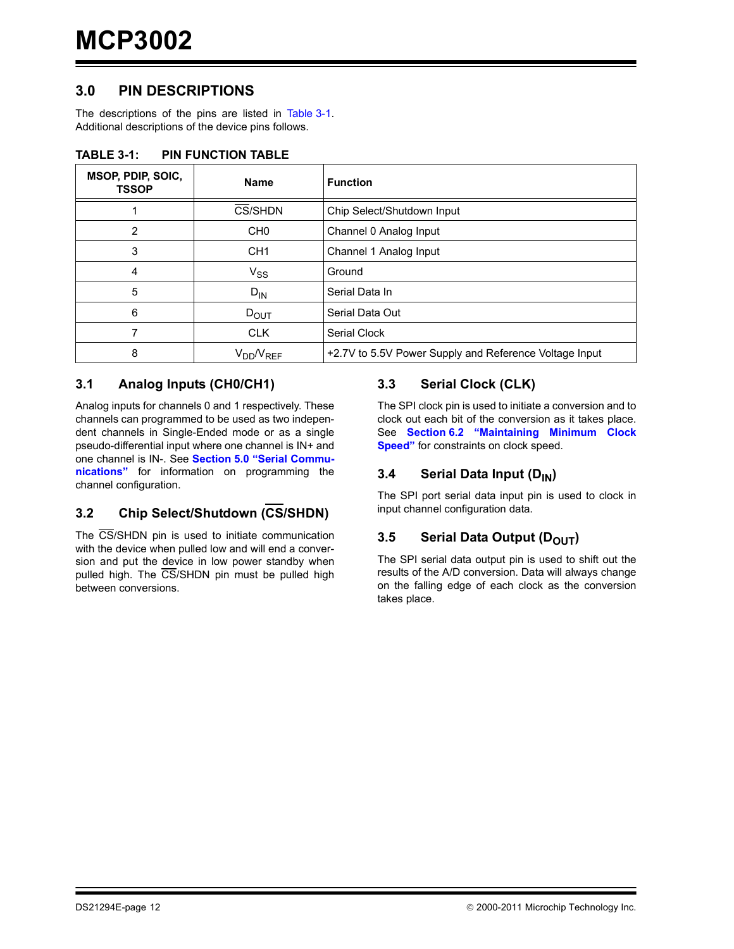### **3.0 PIN DESCRIPTIONS**

The descriptions of the pins are listed in [Table 3-1](#page-11-0). Additional descriptions of the device pins follows.

| MSOP, PDIP, SOIC,<br><b>TSSOP</b> | <b>Name</b>      | <b>Function</b>                                        |  |  |  |
|-----------------------------------|------------------|--------------------------------------------------------|--|--|--|
|                                   | CS/SHDN          | Chip Select/Shutdown Input                             |  |  |  |
| 2                                 | CH <sub>0</sub>  | Channel 0 Analog Input                                 |  |  |  |
| 3                                 | CH <sub>1</sub>  | Channel 1 Analog Input                                 |  |  |  |
| 4                                 | $V_{SS}$         | Ground                                                 |  |  |  |
| 5                                 | $D_{IN}$         | Serial Data In                                         |  |  |  |
| 6                                 | $D_{\text{OUT}}$ | Serial Data Out                                        |  |  |  |
|                                   | <b>CLK</b>       | Serial Clock                                           |  |  |  |
| 8                                 | $V_{DD}/V_{REF}$ | +2.7V to 5.5V Power Supply and Reference Voltage Input |  |  |  |

#### <span id="page-11-0"></span>**TABLE 3-1: PIN FUNCTION TABLE**

#### **3.1 Analog Inputs (CH0/CH1)**

Analog inputs for channels 0 and 1 respectively. These channels can programmed to be used as two independent channels in Single-Ended mode or as a single pseudo-differential input where one channel is IN+ and one channel is IN-. See **[Section 5.0 "Serial Commu](#page-14-0)[nications"](#page-14-0)** for information on programming the channel configuration.

# **3.2 Chip Select/Shutdown (CS/SHDN)**

The CS/SHDN pin is used to initiate communication with the device when pulled low and will end a conversion and put the device in low power standby when pulled high. The CS/SHDN pin must be pulled high between conversions.

#### **3.3 Serial Clock (CLK)**

The SPI clock pin is used to initiate a conversion and to clock out each bit of the conversion as it takes place. See **[Section 6.2 "Maintaining Minimum Clock](#page-17-0) [Speed"](#page-17-0)** for constraints on clock speed.

#### **3.4 Serial Data Input (D<sub>IN</sub>)**

The SPI port serial data input pin is used to clock in input channel configuration data.

#### **3.5 Serial Data Output (DOUT)**

The SPI serial data output pin is used to shift out the results of the A/D conversion. Data will always change on the falling edge of each clock as the conversion takes place.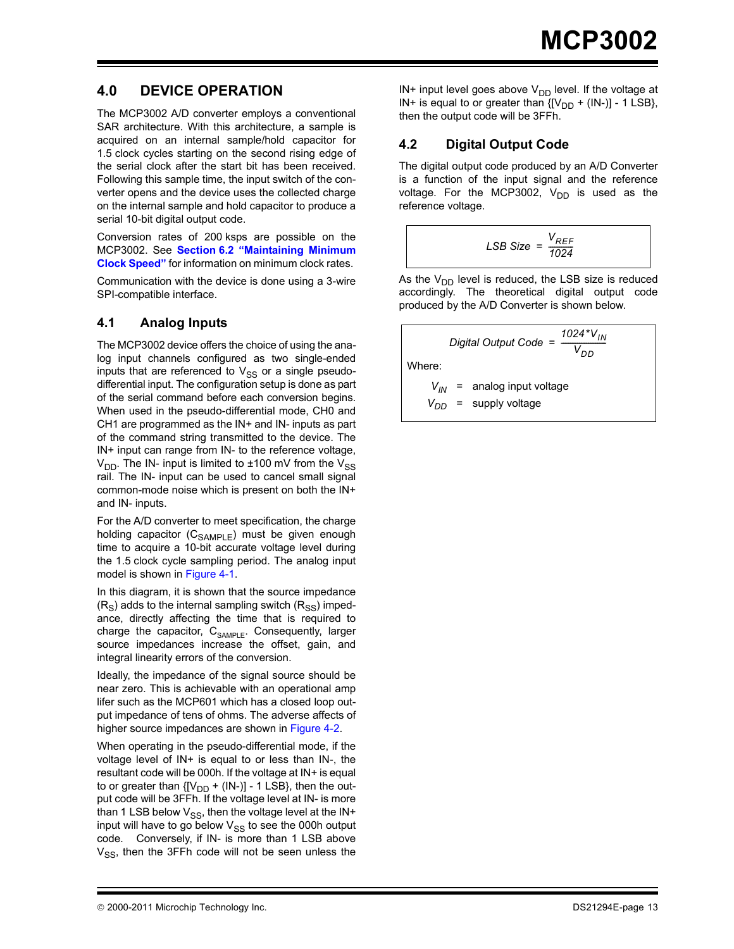# **4.0 DEVICE OPERATION**

The MCP3002 A/D converter employs a conventional SAR architecture. With this architecture, a sample is acquired on an internal sample/hold capacitor for 1.5 clock cycles starting on the second rising edge of the serial clock after the start bit has been received. Following this sample time, the input switch of the converter opens and the device uses the collected charge on the internal sample and hold capacitor to produce a serial 10-bit digital output code.

Conversion rates of 200 ksps are possible on the MCP3002. See **[Section 6.2 "Maintaining Minimum](#page-17-0) [Clock Speed"](#page-17-0)** for information on minimum clock rates.

Communication with the device is done using a 3-wire SPI-compatible interface.

#### **4.1 Analog Inputs**

The MCP3002 device offers the choice of using the analog input channels configured as two single-ended inputs that are referenced to  $V_{SS}$  or a single pseudodifferential input. The configuration setup is done as part of the serial command before each conversion begins. When used in the pseudo-differential mode, CH0 and CH1 are programmed as the IN+ and IN- inputs as part of the command string transmitted to the device. The IN+ input can range from IN- to the reference voltage,  $V_{DD}$ . The IN- input is limited to  $\pm 100$  mV from the  $V_{SS}$ rail. The IN- input can be used to cancel small signal common-mode noise which is present on both the IN+ and IN- inputs.

For the A/D converter to meet specification, the charge holding capacitor (C<sub>SAMPLE</sub>) must be given enough time to acquire a 10-bit accurate voltage level during the 1.5 clock cycle sampling period. The analog input model is shown in [Figure 4-1.](#page-13-0)

In this diagram, it is shown that the source impedance  $(R<sub>S</sub>)$  adds to the internal sampling switch  $(R<sub>SS</sub>)$  impedance, directly affecting the time that is required to charge the capacitor,  $C_{SAMPL}$ . Consequently, larger source impedances increase the offset, gain, and integral linearity errors of the conversion.

Ideally, the impedance of the signal source should be near zero. This is achievable with an operational amp lifer such as the MCP601 which has a closed loop output impedance of tens of ohms. The adverse affects of higher source impedances are shown in [Figure 4-2](#page-13-1).

When operating in the pseudo-differential mode, if the voltage level of IN+ is equal to or less than IN-, the resultant code will be 000h. If the voltage at IN+ is equal to or greater than  ${[V_{DD} + (IN-)]}$  - 1 LSB}, then the output code will be 3FFh. If the voltage level at IN- is more than 1 LSB below  $V_{SS}$ , then the voltage level at the IN+ input will have to go below  $V_{SS}$  to see the 000h output code. Conversely, if IN- is more than 1 LSB above  $V_{SS}$ , then the 3FFh code will not be seen unless the IN+ input level goes above  $V_{DD}$  level. If the voltage at IN+ is equal to or greater than  $\{[V_{DD} + (IN-)]\}$  - 1 LSB}, then the output code will be 3FFh.

#### **4.2 Digital Output Code**

The digital output code produced by an A/D Converter is a function of the input signal and the reference voltage. For the MCP3002,  $V_{DD}$  is used as the reference voltage.

$$
LSB Size = \frac{V_{REF}}{1024}
$$

As the  $V_{DD}$  level is reduced, the LSB size is reduced accordingly. The theoretical digital output code produced by the A/D Converter is shown below.

*Digital Output Code* =  $\frac{1024 \times V_{IN}}{V}$ *VDD = -------------------------* Where:  $V_{IN}$  = analog input voltage  $V_{DD}$  = supply voltage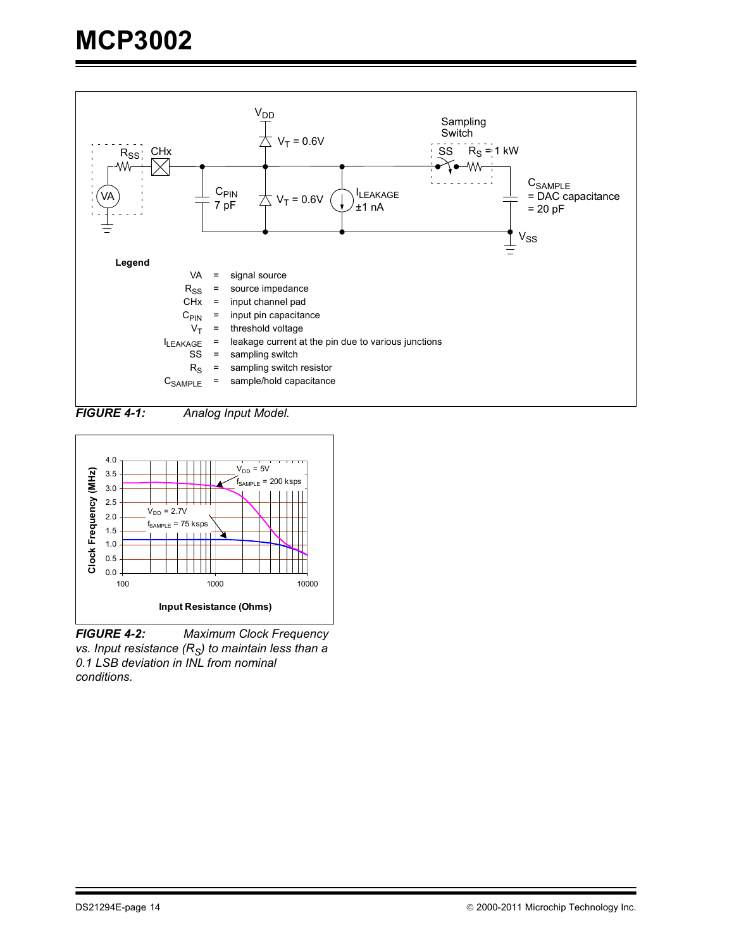

<span id="page-13-0"></span>*FIGURE 4-1: Analog Input Model.*



<span id="page-13-1"></span>*FIGURE 4-2: Maximum Clock Frequency vs. Input resistance (R<sub>S</sub>) to maintain less than a 0.1 LSB deviation in INL from nominal conditions.*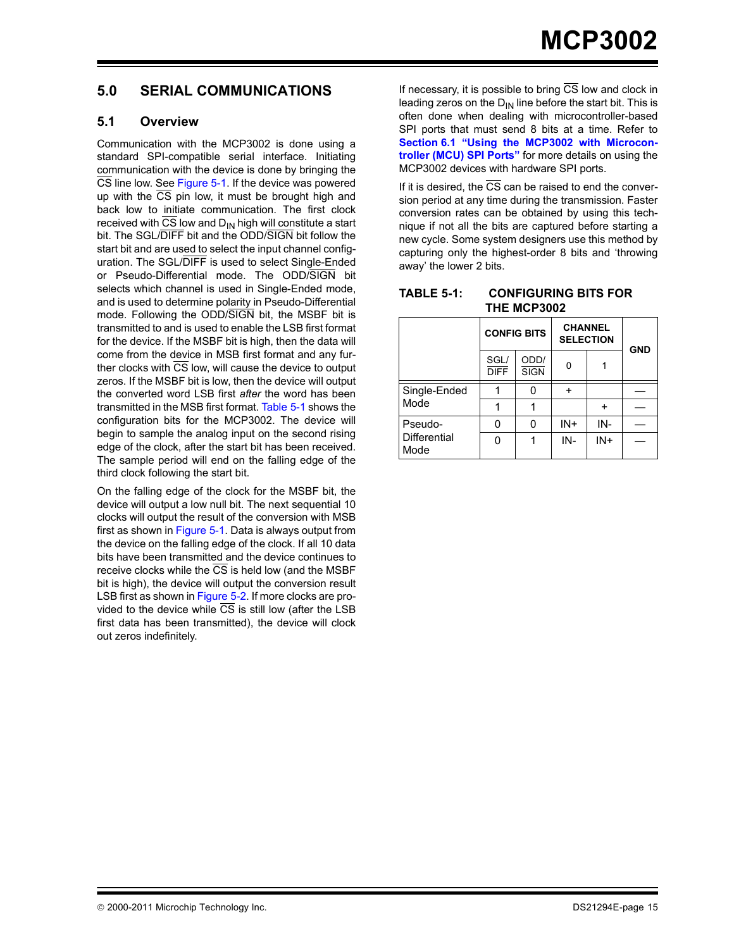#### <span id="page-14-0"></span>**5.0 SERIAL COMMUNICATIONS**

#### **5.1 Overview**

Communication with the MCP3002 is done using a standard SPI-compatible serial interface. Initiating communication with the device is done by bringing the CS line low. See [Figure 5-1](#page-15-0). If the device was powered up with the  $\overline{CS}$  pin low, it must be brought high and back low to initiate communication. The first clock received with  $\overline{\text{CS}}$  low and D<sub>IN</sub> high will constitute a start bit. The SGL/DIFF bit and the ODD/SIGN bit follow the start bit and are used to select the input channel configuration. The SGL/DIFF is used to select Single-Ended or Pseudo-Differential mode. The ODD/SIGN bit selects which channel is used in Single-Ended mode, and is used to determine polarity in Pseudo-Differential mode. Following the ODD/SIGN bit, the MSBF bit is transmitted to and is used to enable the LSB first format for the device. If the MSBF bit is high, then the data will come from the device in MSB first format and any further clocks with  $\overline{\text{CS}}$  low, will cause the device to output zeros. If the MSBF bit is low, then the device will output the converted word LSB first *after* the word has been transmitted in the MSB first format. [Table 5-1](#page-14-1) shows the configuration bits for the MCP3002. The device will begin to sample the analog input on the second rising edge of the clock, after the start bit has been received. The sample period will end on the falling edge of the third clock following the start bit.

On the falling edge of the clock for the MSBF bit, the device will output a low null bit. The next sequential 10 clocks will output the result of the conversion with MSB first as shown in [Figure 5-1.](#page-15-0) Data is always output from the device on the falling edge of the clock. If all 10 data bits have been transmitted and the device continues to receive clocks while the CS is held low (and the MSBF bit is high), the device will output the conversion result LSB first as shown in [Figure 5-2](#page-15-1). If more clocks are provided to the device while CS is still low (after the LSB first data has been transmitted), the device will clock out zeros indefinitely.

If necessary, it is possible to bring  $\overline{\text{CS}}$  low and clock in leading zeros on the  $D_{IN}$  line before the start bit. This is often done when dealing with microcontroller-based SPI ports that must send 8 bits at a time. Refer to **[Section 6.1 "Using the MCP3002 with Microcon](#page-16-0)[troller \(MCU\) SPI Ports"](#page-16-0)** for more details on using the MCP3002 devices with hardware SPI ports.

If it is desired, the  $\overline{CS}$  can be raised to end the conversion period at any time during the transmission. Faster conversion rates can be obtained by using this technique if not all the bits are captured before starting a new cycle. Some system designers use this method by capturing only the highest-order 8 bits and 'throwing away' the lower 2 bits.

<span id="page-14-1"></span>

| <b>TABLE 5-1:</b> | <b>CONFIGURING BITS FOR</b> |
|-------------------|-----------------------------|
|                   | THE MCP3002                 |

|                      |                     |                          |        | <b>CHANNEL</b><br><b>CONFIG BITS</b><br><b>SELECTION</b> |  |  | <b>GND</b> |
|----------------------|---------------------|--------------------------|--------|----------------------------------------------------------|--|--|------------|
|                      | SGL/<br><b>DIFF</b> | ODD/<br>U<br><b>SIGN</b> |        |                                                          |  |  |            |
| Single-Ended         |                     |                          |        |                                                          |  |  |            |
| Mode                 |                     |                          |        |                                                          |  |  |            |
| Pseudo-              |                     | n                        | $IN +$ | IN-                                                      |  |  |            |
| Differential<br>Mode |                     |                          | IN-    | IN+                                                      |  |  |            |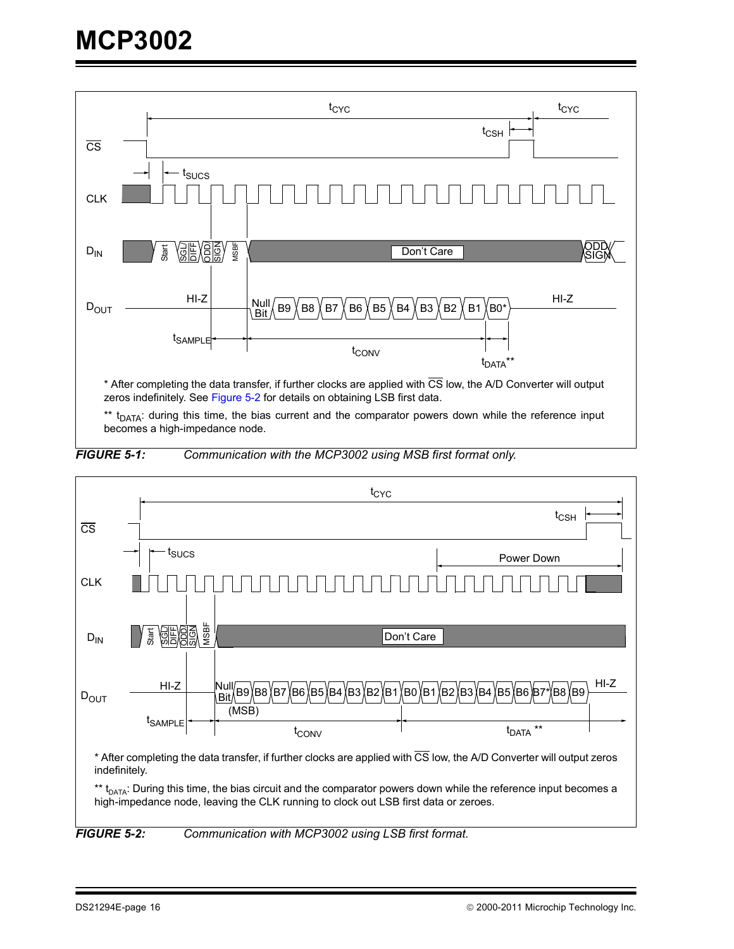

zeros indefinitely. See [Figure 5-2](#page-15-1) for details on obtaining LSB first data.

\*\* t<sub>DATA</sub>: during this time, the bias current and the comparator powers down while the reference input becomes a high-impedance node.

<span id="page-15-0"></span>



<span id="page-15-1"></span>*FIGURE 5-2: Communication with MCP3002 using LSB first format.*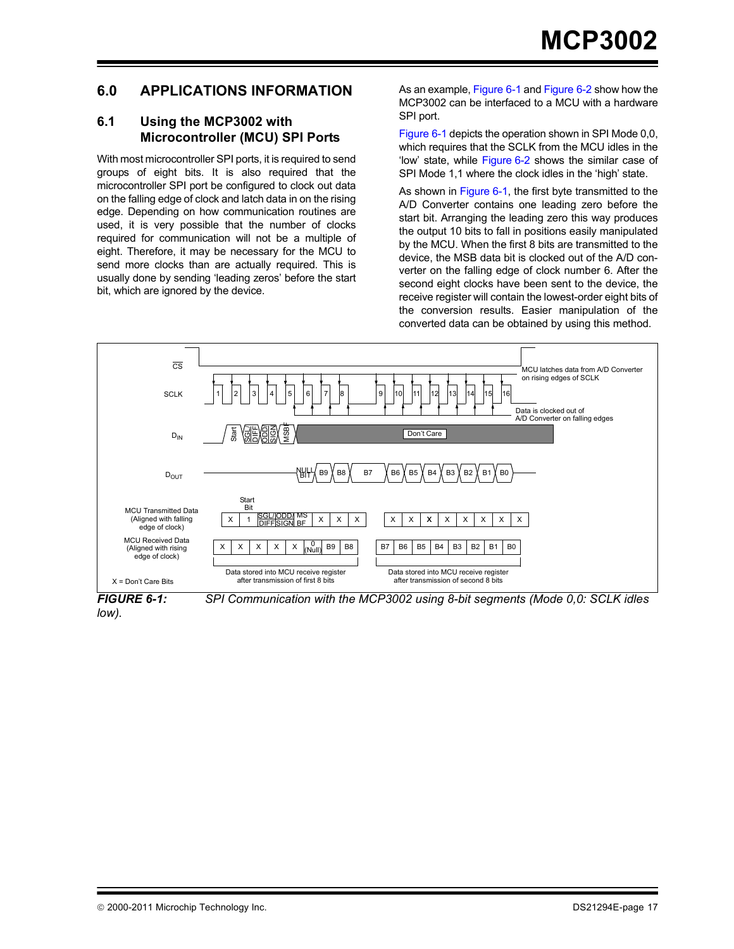#### **6.0 APPLICATIONS INFORMATION**

#### <span id="page-16-0"></span>**6.1 Using the MCP3002 with Microcontroller (MCU) SPI Ports**

With most microcontroller SPI ports, it is required to send groups of eight bits. It is also required that the microcontroller SPI port be configured to clock out data on the falling edge of clock and latch data in on the rising edge. Depending on how communication routines are used, it is very possible that the number of clocks required for communication will not be a multiple of eight. Therefore, it may be necessary for the MCU to send more clocks than are actually required. This is usually done by sending 'leading zeros' before the start bit, which are ignored by the device.

As an example, [Figure 6-1](#page-16-1) and [Figure 6-2](#page-17-1) show how the MCP3002 can be interfaced to a MCU with a hardware SPI port.

[Figure 6-1](#page-16-1) depicts the operation shown in SPI Mode 0,0, which requires that the SCLK from the MCU idles in the 'low' state, while [Figure 6-2](#page-17-1) shows the similar case of SPI Mode 1,1 where the clock idles in the 'high' state.

As shown in [Figure 6-1,](#page-16-1) the first byte transmitted to the A/D Converter contains one leading zero before the start bit. Arranging the leading zero this way produces the output 10 bits to fall in positions easily manipulated by the MCU. When the first 8 bits are transmitted to the device, the MSB data bit is clocked out of the A/D converter on the falling edge of clock number 6. After the second eight clocks have been sent to the device, the receive register will contain the lowest-order eight bits of the conversion results. Easier manipulation of the converted data can be obtained by using this method.



*low).*

<span id="page-16-1"></span>*FIGURE 6-1: SPI Communication with the MCP3002 using 8-bit segments (Mode 0,0: SCLK idles*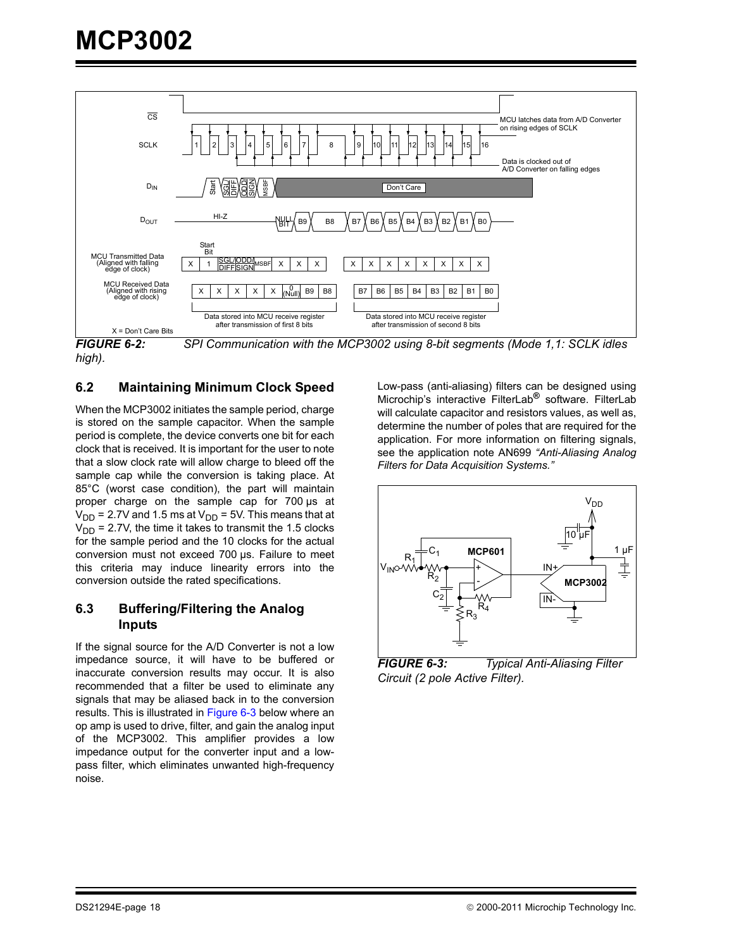

<span id="page-17-1"></span>*high).*

#### <span id="page-17-0"></span>**6.2 Maintaining Minimum Clock Speed**

When the MCP3002 initiates the sample period, charge is stored on the sample capacitor. When the sample period is complete, the device converts one bit for each clock that is received. It is important for the user to note that a slow clock rate will allow charge to bleed off the sample cap while the conversion is taking place. At 85°C (worst case condition), the part will maintain proper charge on the sample cap for 700 µs at  $V_{DD}$  = 2.7V and 1.5 ms at  $V_{DD}$  = 5V. This means that at  $V_{DD}$  = 2.7V, the time it takes to transmit the 1.5 clocks for the sample period and the 10 clocks for the actual conversion must not exceed 700 µs. Failure to meet this criteria may induce linearity errors into the conversion outside the rated specifications.

#### **6.3 Buffering/Filtering the Analog Inputs**

If the signal source for the A/D Converter is not a low impedance source, it will have to be buffered or inaccurate conversion results may occur. It is also recommended that a filter be used to eliminate any signals that may be aliased back in to the conversion results. This is illustrated in [Figure 6-3](#page-17-2) below where an op amp is used to drive, filter, and gain the analog input of the MCP3002. This amplifier provides a low impedance output for the converter input and a lowpass filter, which eliminates unwanted high-frequency noise.

Low-pass (anti-aliasing) filters can be designed using Microchip's interactive FilterLab**®** software. FilterLab will calculate capacitor and resistors values, as well as, determine the number of poles that are required for the application. For more information on filtering signals, see the application note AN699 *"Anti-Aliasing Analog Filters for Data Acquisition Systems."*



<span id="page-17-2"></span>*FIGURE 6-3: Typical Anti-Aliasing Filter Circuit (2 pole Active Filter).*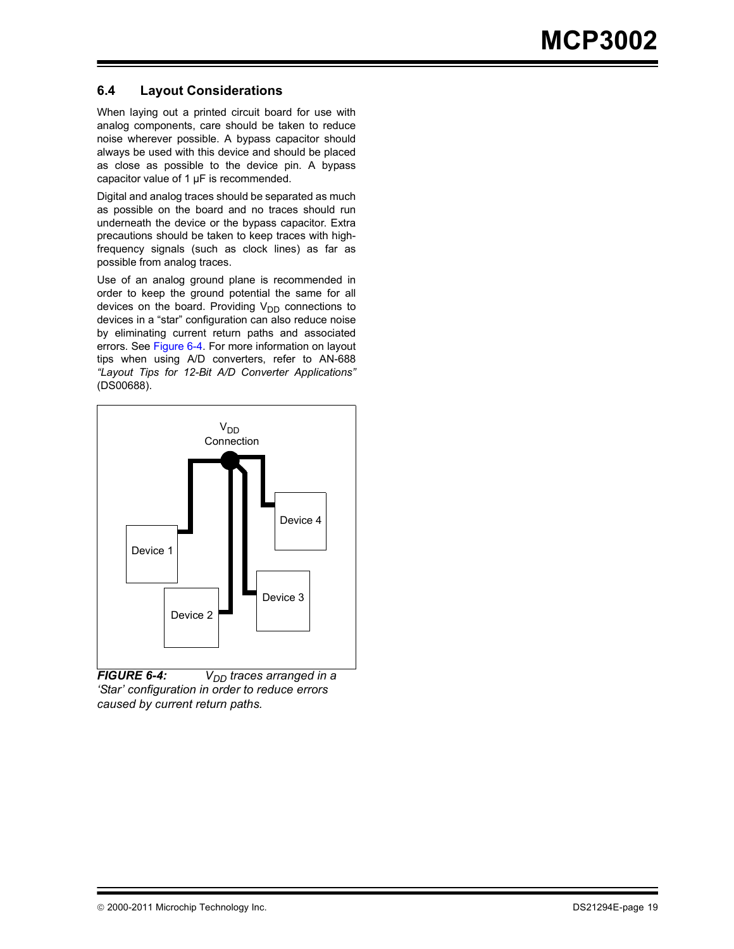#### **6.4 Layout Considerations**

When laying out a printed circuit board for use with analog components, care should be taken to reduce noise wherever possible. A bypass capacitor should always be used with this device and should be placed as close as possible to the device pin. A bypass capacitor value of 1 µF is recommended.

Digital and analog traces should be separated as much as possible on the board and no traces should run underneath the device or the bypass capacitor. Extra precautions should be taken to keep traces with highfrequency signals (such as clock lines) as far as possible from analog traces.

Use of an analog ground plane is recommended in order to keep the ground potential the same for all devices on the board. Providing  $V_{DD}$  connections to devices in a "star" configuration can also reduce noise by eliminating current return paths and associated errors. See [Figure 6-4](#page-18-0). For more information on layout tips when using A/D converters, refer to AN-688 *"Layout Tips for 12-Bit A/D Converter Applications"* (DS00688).



<span id="page-18-0"></span>*FIGURE 6-4: V<sub>DD</sub> traces arranged in a 'Star' configuration in order to reduce errors caused by current return paths.*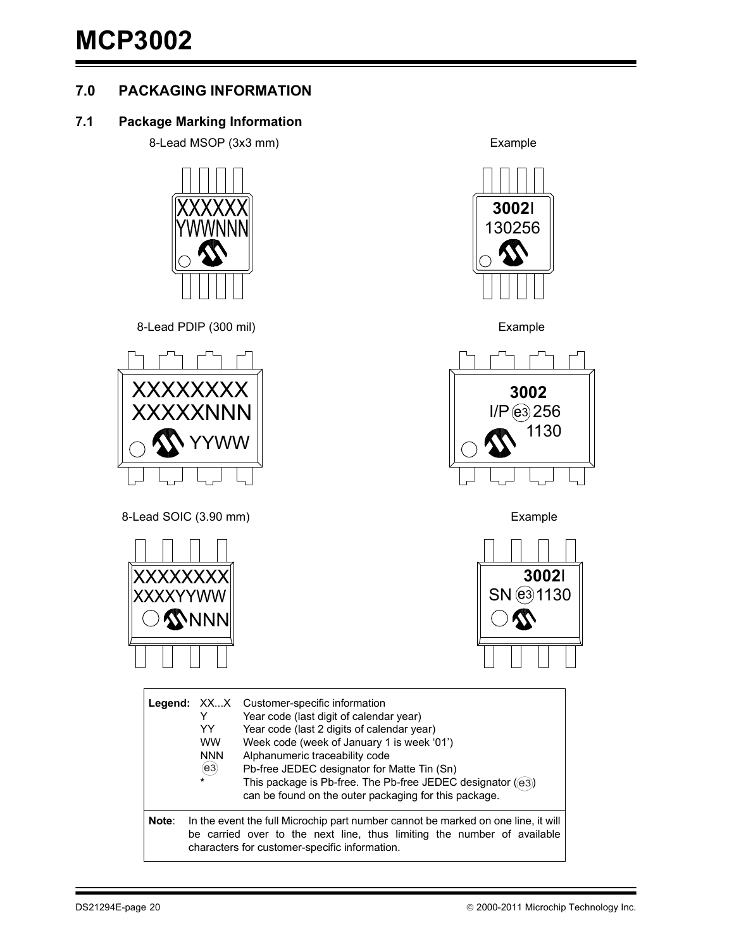# **7.0 PACKAGING INFORMATION**

#### **7.1 Package Marking Information**

8-Lead MSOP (3x3 mm) Example

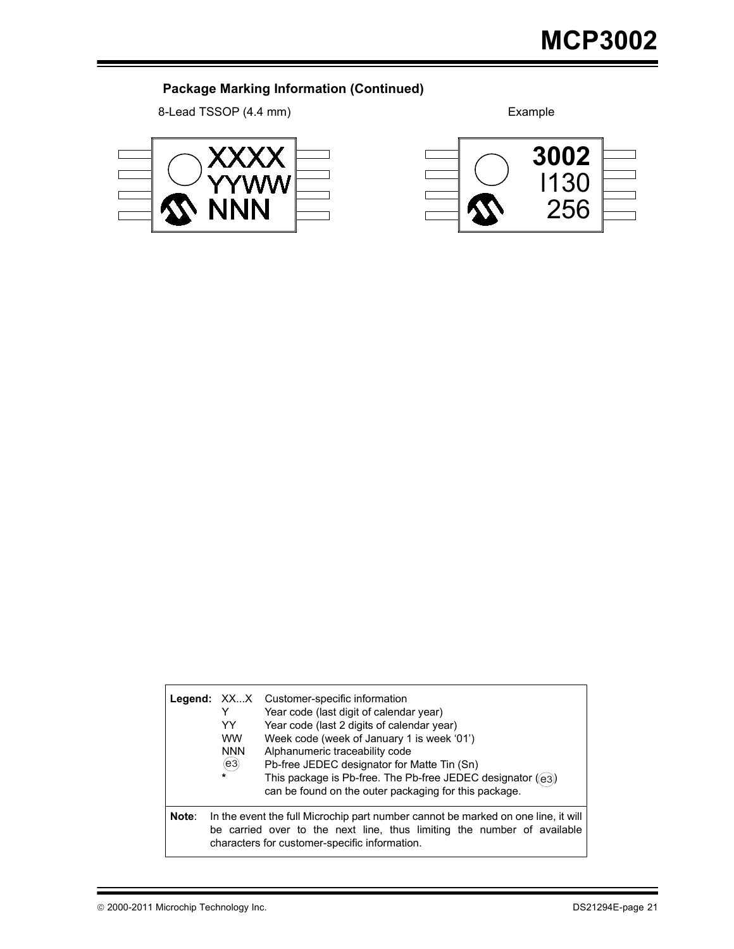# **Package Marking Information (Continued)**

8-Lead TSSOP (4.4 mm) Example





|       | YY.<br><b>WW</b><br><b>NNN</b><br>$\mathbf{(e3)}$<br>$\ast$ | Legend: XXX Customer-specific information<br>Year code (last digit of calendar year)<br>Year code (last 2 digits of calendar year)<br>Week code (week of January 1 is week '01')<br>Alphanumeric traceability code<br>Pb-free JEDEC designator for Matte Tin (Sn)<br>This package is Pb-free. The Pb-free JEDEC designator ((e3))<br>can be found on the outer packaging for this package. |
|-------|-------------------------------------------------------------|--------------------------------------------------------------------------------------------------------------------------------------------------------------------------------------------------------------------------------------------------------------------------------------------------------------------------------------------------------------------------------------------|
| Note: |                                                             | In the event the full Microchip part number cannot be marked on one line, it will<br>be carried over to the next line, thus limiting the number of available<br>characters for customer-specific information.                                                                                                                                                                              |

 $\mathsf{r}$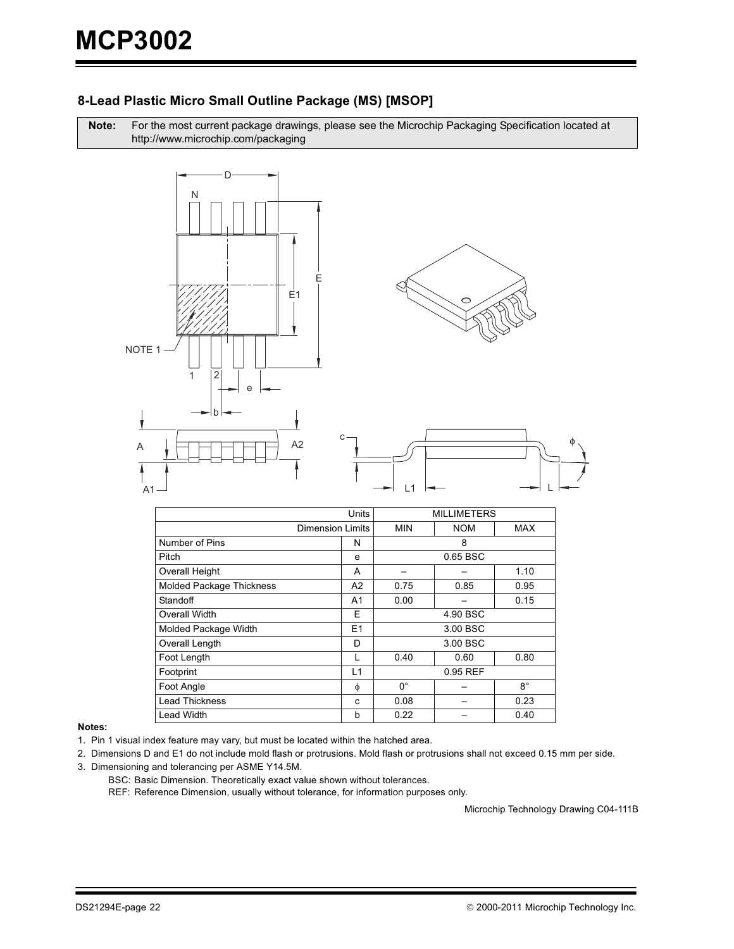#### 8-Lead Plastic Micro Small Outline Package (MS) [MSOP]

For the most current package drawings, please see the Microchip Packaging Specification located at Note: http://www.microchip.com/packaging



|                          | Units  |             | <b>MILLIMETERS</b> |             |  |  |
|--------------------------|--------|-------------|--------------------|-------------|--|--|
| Dimension Limits         |        | <b>MIN</b>  | <b>NOM</b>         | MAX         |  |  |
| Number of Pins           | N      | 8           |                    |             |  |  |
| Pitch                    | e      |             | 0.65 BSC           |             |  |  |
| <b>Overall Height</b>    | A      |             |                    | 1.10        |  |  |
| Molded Package Thickness | A2     | 0.75        | 0.85               | 0.95        |  |  |
| Standoff                 | A1     | 0.00        |                    | 0.15        |  |  |
| Overall Width            | Е      | 4.90 BSC    |                    |             |  |  |
| Molded Package Width     | E1     | 3.00 BSC    |                    |             |  |  |
| Overall Length           | D      |             | 3.00 BSC           |             |  |  |
| Foot Length              | L      | 0.40        | 0.60               | 0.80        |  |  |
| Footprint                | L1     |             | 0.95 REF           |             |  |  |
| Foot Angle               | $\phi$ | $0^{\circ}$ |                    | $8^{\circ}$ |  |  |
| <b>Lead Thickness</b>    | C      | 0.08        |                    | 0.23        |  |  |
| Lead Width               | b      | 0.22        |                    | 0.40        |  |  |

#### Notes:

- 1. Pin 1 visual index feature may vary, but must be located within the hatched area.
- 2. Dimensions D and E1 do not include mold flash or protrusions. Mold flash or protrusions shall not exceed 0.15 mm per side.
- 3. Dimensioning and tolerancing per ASME Y14.5M.
	- BSC: Basic Dimension. Theoretically exact value shown without tolerances.

REF: Reference Dimension, usually without tolerance, for information purposes only.

Microchip Technology Drawing C04-111B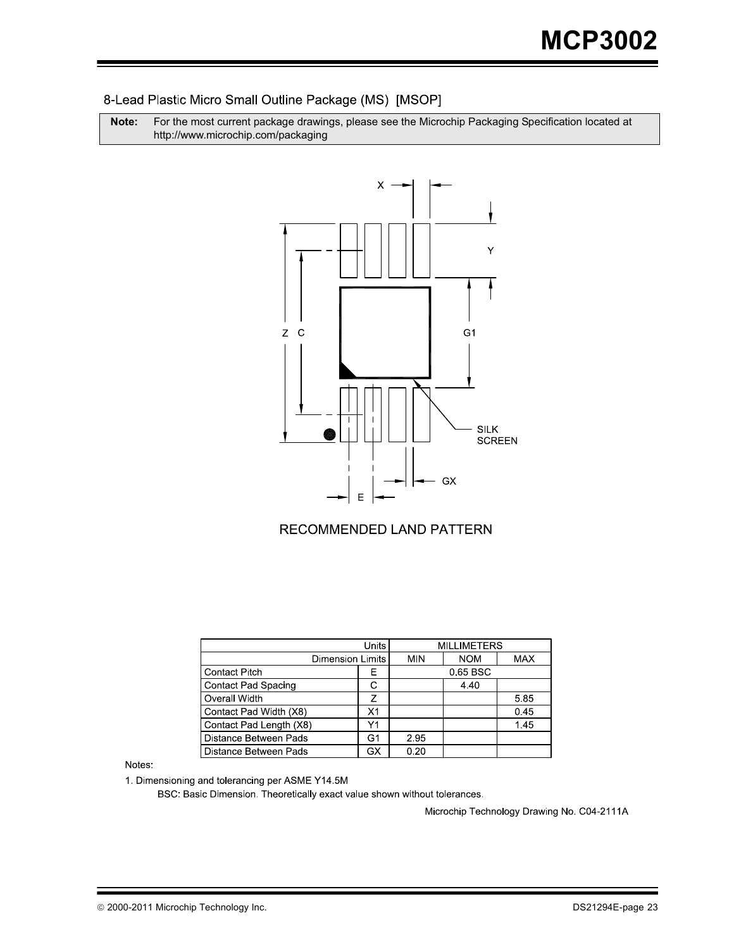#### 8-Lead Plastic Micro Small Outline Package (MS) [MSOP]

**Note:** For the most current package drawings, please see the Microchip Packaging Specification located at http://www.microchip.com/packaging



#### RECOMMENDED LAND PATTERN

|                            | <b>Units</b>            | <b>MILLIMETERS</b> |            |            |  |
|----------------------------|-------------------------|--------------------|------------|------------|--|
|                            | <b>Dimension Limits</b> |                    | <b>NOM</b> | <b>MAX</b> |  |
| <b>Contact Pitch</b>       | F                       | 0.65 BSC           |            |            |  |
| <b>Contact Pad Spacing</b> | С                       |                    | 4.40       |            |  |
| Overall Width              | 7                       |                    |            | 5.85       |  |
| Contact Pad Width (X8)     | X1                      |                    |            | 0.45       |  |
| Contact Pad Length (X8)    | Y1                      |                    |            | 145        |  |
| Distance Between Pads      | G1                      | 2.95               |            |            |  |
| Distance Between Pads      | <b>GX</b>               | 0.20               |            |            |  |

Notes:

1. Dimensioning and tolerancing per ASME Y14.5M

BSC: Basic Dimension. Theoretically exact value shown without tolerances.

Microchip Technology Drawing No. C04-2111A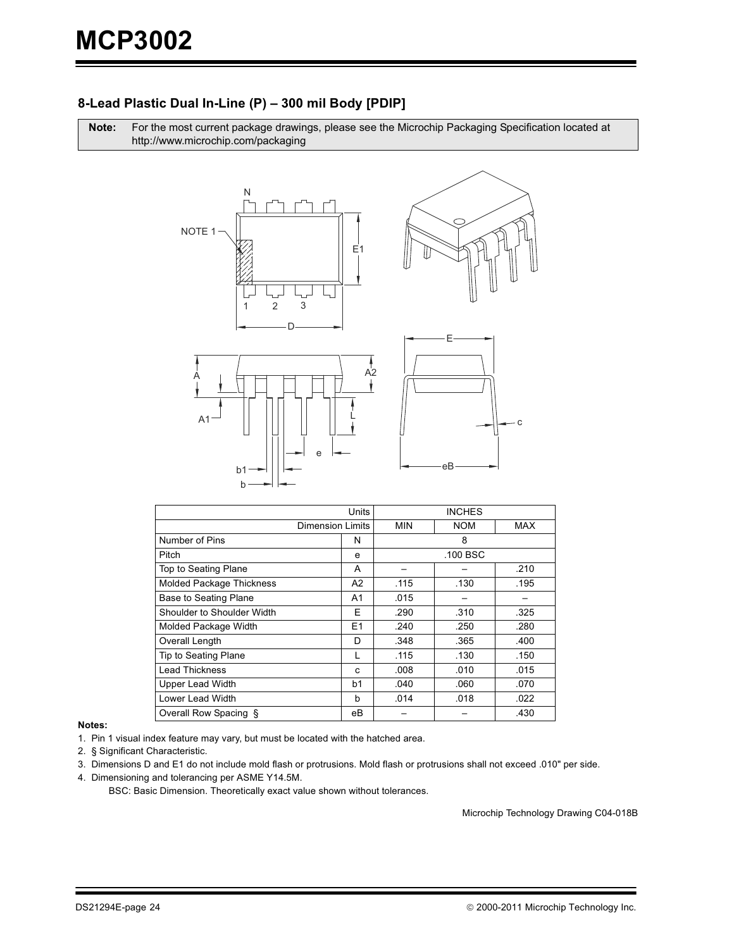#### 8-Lead Plastic Dual In-Line (P) - 300 mil Body [PDIP]

Note: For the most current package drawings, please see the Microchip Packaging Specification located at http://www.microchip.com/packaging



|                                 | Units          |            |            |            |
|---------------------------------|----------------|------------|------------|------------|
| <b>Dimension Limits</b>         |                | <b>MIN</b> | <b>NOM</b> | <b>MAX</b> |
| Number of Pins                  | N              |            | 8          |            |
| Pitch                           | е              |            | .100 BSC   |            |
| Top to Seating Plane            | A              |            |            | .210       |
| <b>Molded Package Thickness</b> | A <sub>2</sub> | .115       | .130       | .195       |
| <b>Base to Seating Plane</b>    | A1             | .015       |            |            |
| Shoulder to Shoulder Width      | E              | .290       | .310       | .325       |
| Molded Package Width            | E <sub>1</sub> | .240       | .250       | .280       |
| Overall Length                  | D              | .348       | .365       | .400       |
| Tip to Seating Plane            |                | .115       | .130       | .150       |
| <b>Lead Thickness</b>           | c              | .008       | .010       | .015       |
| <b>Upper Lead Width</b>         | b1             | .040       | .060       | .070       |
| Lower Lead Width                | b              | .014       | .018       | .022       |
| Overall Row Spacing §           | eВ             |            |            | .430       |

#### Notes:

1. Pin 1 visual index feature may vary, but must be located with the hatched area.

2. § Significant Characteristic.

3. Dimensions D and E1 do not include mold flash or protrusions. Mold flash or protrusions shall not exceed .010" per side.

4. Dimensioning and tolerancing per ASME Y14.5M.

BSC: Basic Dimension. Theoretically exact value shown without tolerances.

Microchip Technology Drawing C04-018B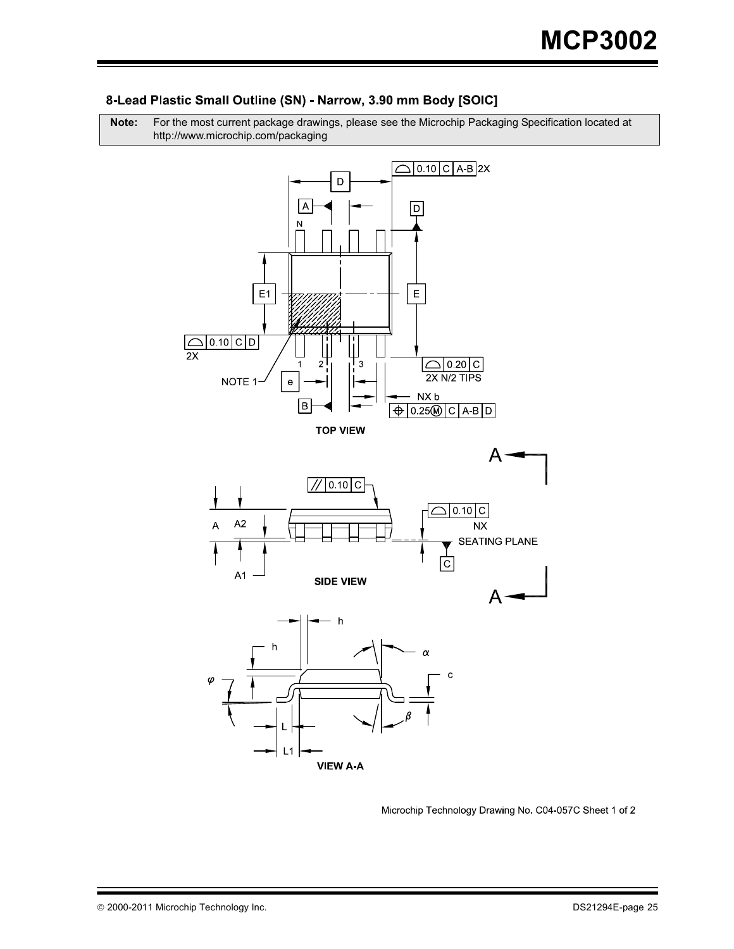

#### 8-Lead Plastic Small Outline (SN) - Narrow, 3.90 mm Body [SOIC]

**Note:** For the most current package drawings, please see the Microchip Packaging Specification located at http://www.microchip.com/packaging

Microchip Technology Drawing No. C04-057C Sheet 1 of 2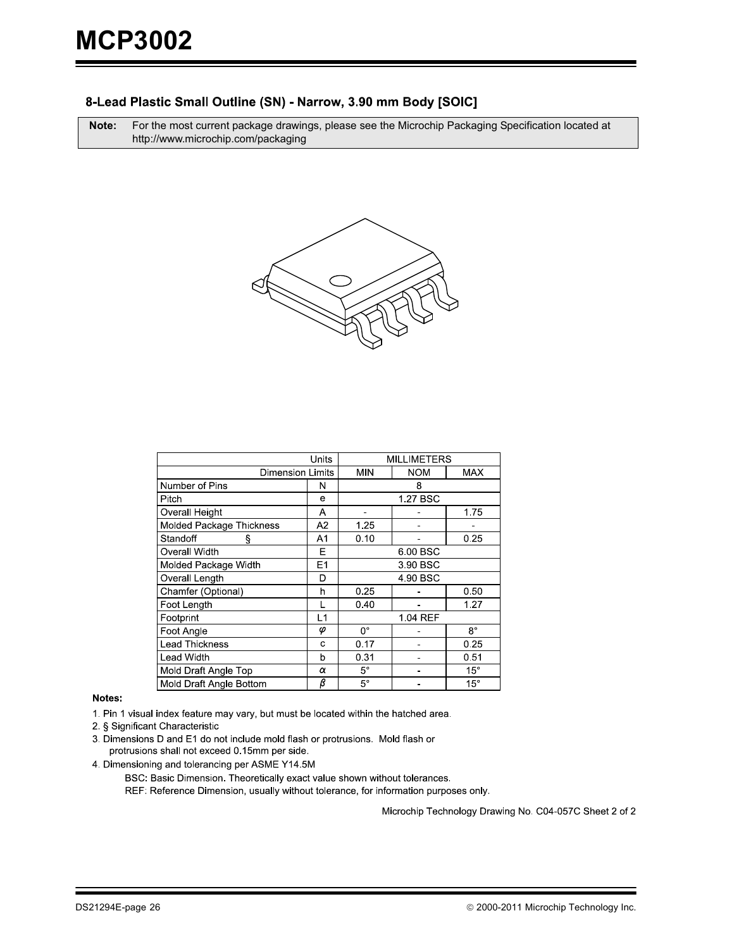#### 8-Lead Plastic Small Outline (SN) - Narrow, 3.90 mm Body [SOIC]

**Note:** For the most current package drawings, please see the Microchip Packaging Specification located at http://www.microchip.com/packaging



|                                 | <b>MILLIMETERS</b> |              |            |              |  |
|---------------------------------|--------------------|--------------|------------|--------------|--|
| <b>Dimension Limits</b>         | <b>MIN</b>         | <b>NOM</b>   | <b>MAX</b> |              |  |
| Number of Pins                  | N                  |              | 8          |              |  |
| Pitch                           | е                  |              | 1.27 BSC   |              |  |
| Overall Height                  | Α                  |              |            | 1.75         |  |
| <b>Molded Package Thickness</b> | A2                 | 1.25         |            |              |  |
| Standoff<br>ş                   | A1                 | 0.10         |            | 0.25         |  |
| Overall Width                   | Е                  | 6.00 BSC     |            |              |  |
| Molded Package Width            | E1                 | 3.90 BSC     |            |              |  |
| Overall Length                  | D                  | 4 90 BSC     |            |              |  |
| Chamfer (Optional)              | h                  | 0.25         |            | 0.50         |  |
| Foot Length                     |                    | 0.40         |            | 1.27         |  |
| Footprint                       | L1                 |              | 1.04 REF   |              |  |
| Foot Angle                      | $\varphi$          | 0°           |            | $8^{\circ}$  |  |
| <b>Lead Thickness</b>           | C                  | 0.25<br>0.17 |            |              |  |
| <b>Lead Width</b>               | b                  | 0.31         |            | 0.51         |  |
| Mold Draft Angle Top            | α                  | $5^{\circ}$  |            | $15^{\circ}$ |  |
| Mold Draft Angle Bottom         | β                  | $5^{\circ}$  |            | $15^\circ$   |  |

#### Notes:

1. Pin 1 visual index feature may vary, but must be located within the hatched area.

2. § Significant Characteristic

3. Dimensions D and E1 do not include mold flash or protrusions. Mold flash or protrusions shall not exceed 0.15mm per side.

4. Dimensioning and tolerancing per ASME Y14.5M

BSC: Basic Dimension. Theoretically exact value shown without tolerances.

REF: Reference Dimension, usually without tolerance, for information purposes only.

Microchip Technology Drawing No. C04-057C Sheet 2 of 2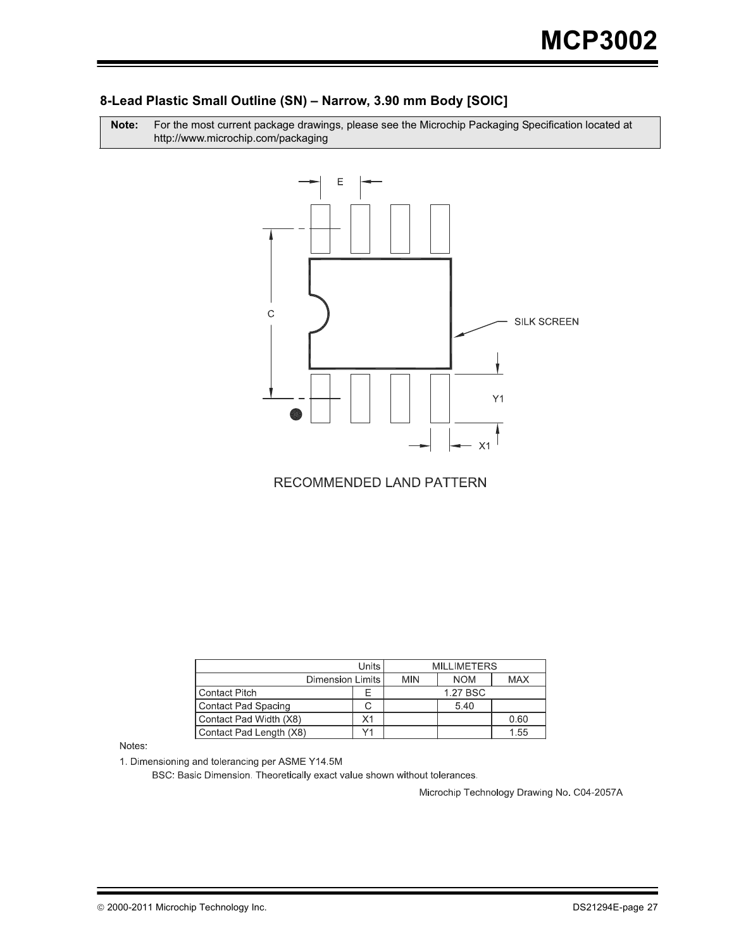#### 8-Lead Plastic Small Outline (SN) - Narrow, 3.90 mm Body [SOIC]

Note: r the most current package drawings, please see the Microchip Packaging Specification located at http://www.microchip.com/packaging



RECOMMENDED LAND PATTERN

|                         | <b>MILLIMETERS</b> |            |          |      |
|-------------------------|--------------------|------------|----------|------|
| Dimension Limits        | <b>MIN</b>         | <b>NOM</b> | MAX      |      |
| <b>Contact Pitch</b>    |                    |            | 1.27 BSC |      |
| Contact Pad Spacing     |                    |            | 5.40     |      |
| Contact Pad Width (X8)  | Χ1                 |            |          | 0.60 |
| Contact Pad Length (X8) |                    |            |          | 1.55 |

Notes:

1. Dimensioning and tolerancing per ASME Y14.5M

BSC: Basic Dimension. Theoretically exact value shown without tolerances.

Microchip Technology Drawing No. C04-2057A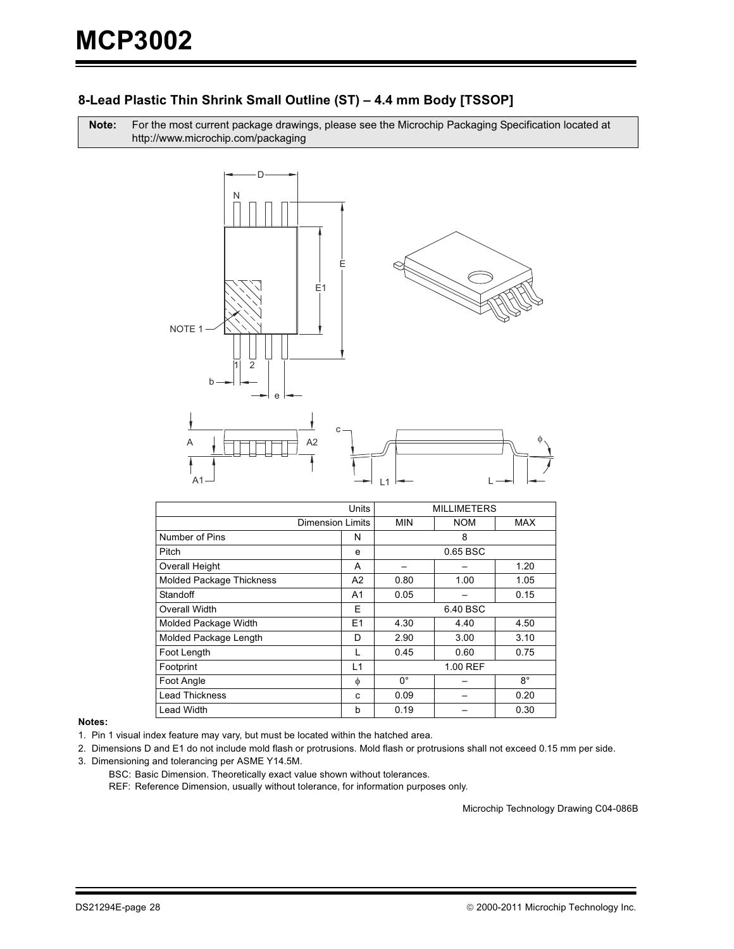# 8-Lead Plastic Thin Shrink Small Outline (ST) - 4.4 mm Body [TSSOP]

Note: For the most current package drawings, please see the Microchip Packaging Specification located at http://www.microchip.com/packaging



| Units                           |                | <b>MILLIMETERS</b>       |      |      |  |
|---------------------------------|----------------|--------------------------|------|------|--|
| Dimension Limits                |                | <b>MIN</b><br><b>NOM</b> |      | MAX  |  |
| Number of Pins                  | N              | 8                        |      |      |  |
| Pitch                           | e              | 0.65 BSC                 |      |      |  |
| Overall Height                  | A              |                          |      | 1.20 |  |
| <b>Molded Package Thickness</b> | A <sub>2</sub> | 0.80                     | 1.05 |      |  |
| Standoff                        | A <sub>1</sub> | 0.05                     |      | 0.15 |  |
| Overall Width                   | E              | 6.40 BSC                 |      |      |  |
| Molded Package Width            | E1             | 4.30<br>4.40<br>4.50     |      |      |  |
| Molded Package Length           | D              | 2.90                     | 3.00 | 3.10 |  |
| Foot Length                     |                | 0.45                     | 0.60 | 0.75 |  |
| Footprint                       | L1             | 1.00 REF                 |      |      |  |
| Foot Angle                      | $\phi$         | $0^{\circ}$              |      | 8°   |  |
| <b>Lead Thickness</b>           | C              | 0.09                     |      | 0.20 |  |
| Lead Width                      | b              | 0.19                     |      | 0.30 |  |

Notes:

1. Pin 1 visual index feature may vary, but must be located within the hatched area.

2. Dimensions D and E1 do not include mold flash or protrusions. Mold flash or protrusions shall not exceed 0.15 mm per side. 3. Dimensioning and tolerancing per ASME Y14.5M.

BSC: Basic Dimension. Theoretically exact value shown without tolerances.

REF: Reference Dimension, usually without tolerance, for information purposes only.

Microchip Technology Drawing C04-086B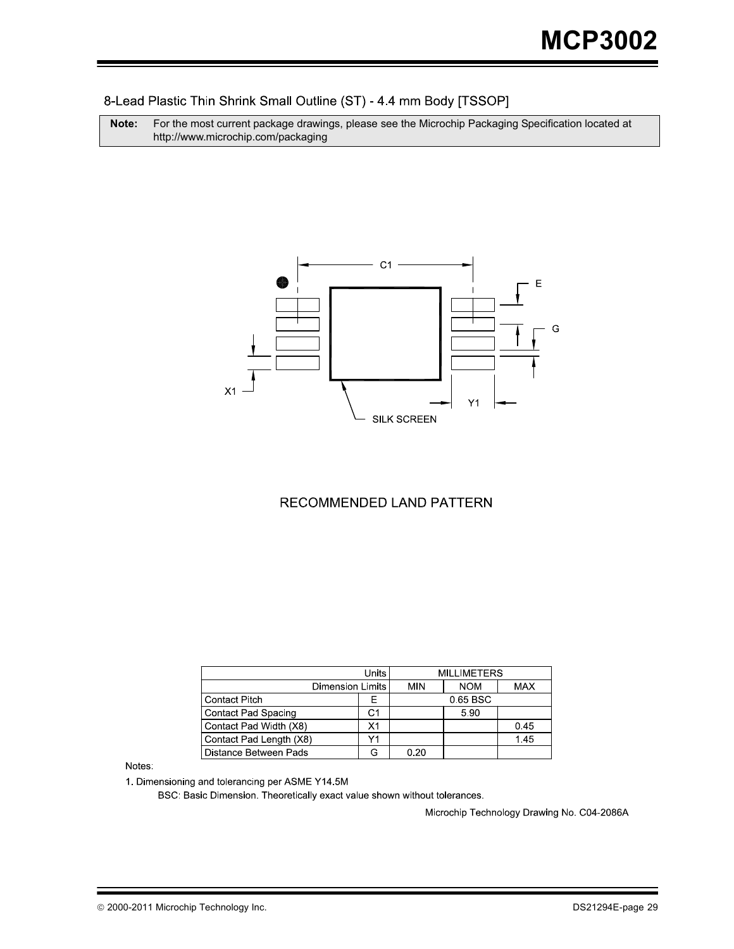#### 8-Lead Plastic Thin Shrink Small Outline (ST) - 4.4 mm Body [TSSOP]

**Note:** For the most current package drawings, please see the Microchip Packaging Specification located at http://www.microchip.com/packaging



#### RECOMMENDED LAND PATTERN

|                         | <b>Units</b> | <b>MILLIMETERS</b> |            |            |
|-------------------------|--------------|--------------------|------------|------------|
| <b>Dimension Limits</b> |              | MIN                | <b>NOM</b> | <b>MAX</b> |
| <b>Contact Pitch</b>    | ⊢            | 0.65 BSC           |            |            |
| Contact Pad Spacing     | C1           |                    | 5.90       |            |
| Contact Pad Width (X8)  | Х1           |                    |            | 0.45       |
| Contact Pad Length (X8) | V1           |                    |            | 1.45       |
| Distance Between Pads   |              | 0.20               |            |            |

Notes:

1. Dimensioning and tolerancing per ASME Y14.5M

BSC: Basic Dimension. Theoretically exact value shown without tolerances.

Microchip Technology Drawing No. C04-2086A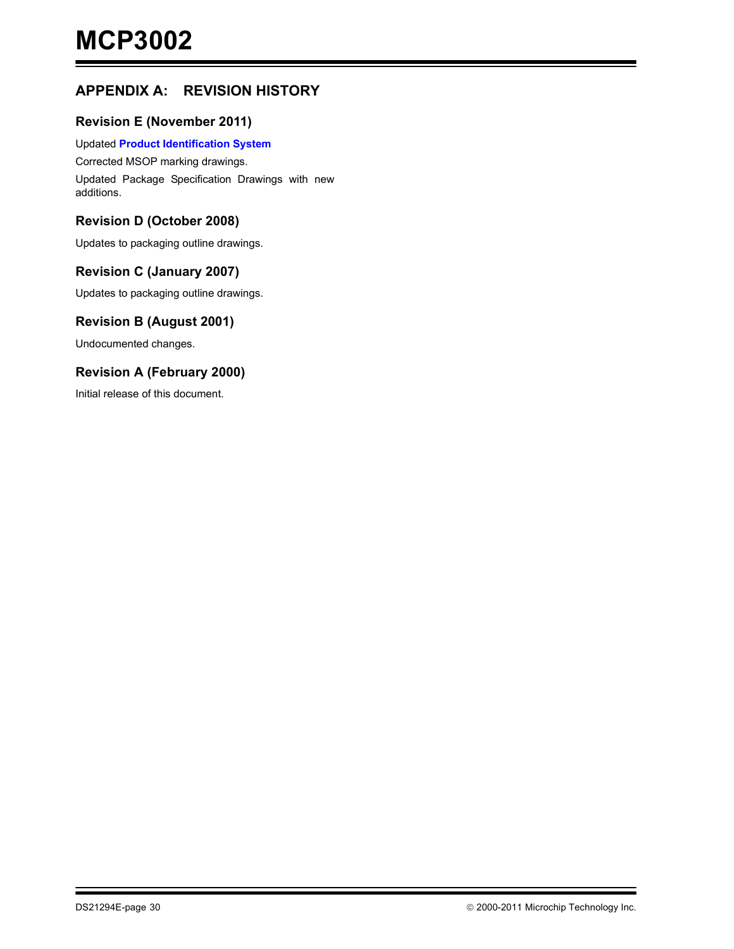# **APPENDIX A: REVISION HISTORY**

#### **Revision E (November 2011)**

#### Updated **[Product Identification System](#page-30-0)**

Corrected MSOP marking drawings. Updated Package Specification Drawings with new additions.

#### **Revision D (October 2008)**

Updates to packaging outline drawings.

#### **Revision C (January 2007)**

Updates to packaging outline drawings.

#### **Revision B (August 2001)**

Undocumented changes.

#### **Revision A (February 2000)**

Initial release of this document.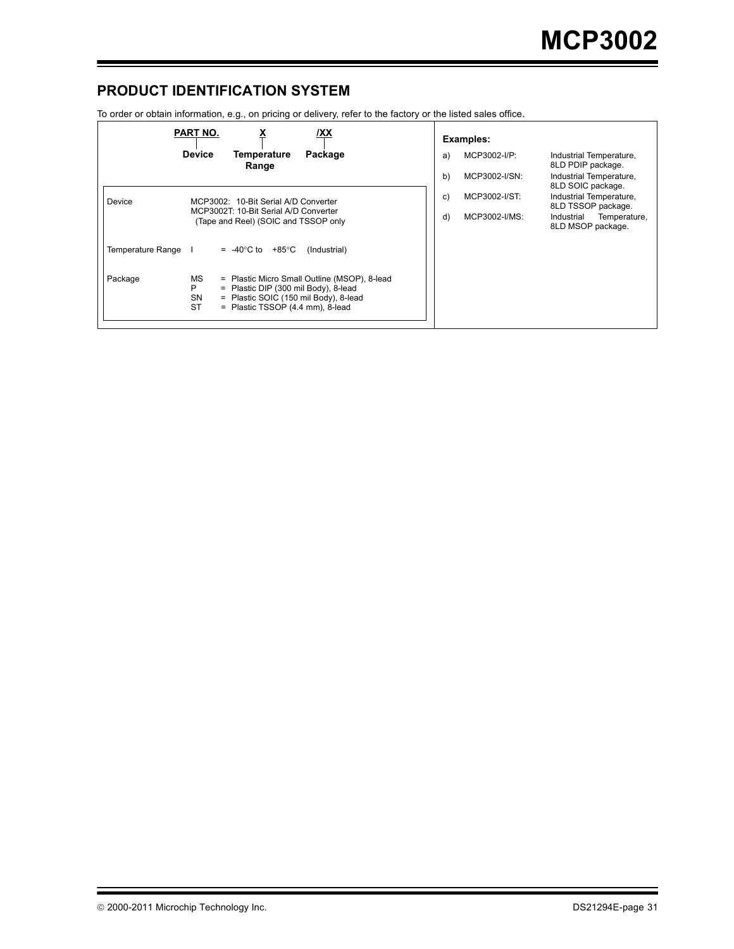# <span id="page-30-0"></span>**PRODUCT IDENTIFICATION SYSTEM**

To order or obtain information, e.g., on pricing or delivery, refer to the factory or the listed sales office.

|                                                                                         | PART NO.<br>/XX                                                                                                                                                                                        |               | Examples:                                     |                                                 |
|-----------------------------------------------------------------------------------------|--------------------------------------------------------------------------------------------------------------------------------------------------------------------------------------------------------|---------------|-----------------------------------------------|-------------------------------------------------|
|                                                                                         | <b>Device</b><br>Temperature<br>Package<br>Range                                                                                                                                                       | a)            | MCP3002-I/P:                                  | Industrial Temperature,<br>8LD PDIP package.    |
|                                                                                         |                                                                                                                                                                                                        | b)            | MCP3002-I/SN:                                 | Industrial Temperature,<br>8LD SOIC package.    |
| Device<br>MCP3002: 10-Bit Serial A/D Converter<br>MCP3002T: 10-Bit Serial A/D Converter | C)                                                                                                                                                                                                     | MCP3002-I/ST: | Industrial Temperature,<br>8LD TSSOP package. |                                                 |
| (Tape and Reel) (SOIC and TSSOP only                                                    |                                                                                                                                                                                                        | d)            | MCP3002-I/MS:                                 | Industrial<br>Temperature,<br>8LD MSOP package. |
| Temperature Range I                                                                     | $= -40^{\circ}$ C to $+85^{\circ}$ C<br>(Industrial)                                                                                                                                                   |               |                                               |                                                 |
| Package                                                                                 | MS<br>= Plastic Micro Small Outline (MSOP), 8-lead<br>= Plastic DIP (300 mil Body), 8-lead<br>P<br><b>SN</b><br>= Plastic SOIC (150 mil Body), 8-lead<br><b>ST</b><br>= Plastic TSSOP (4.4 mm), 8-lead |               |                                               |                                                 |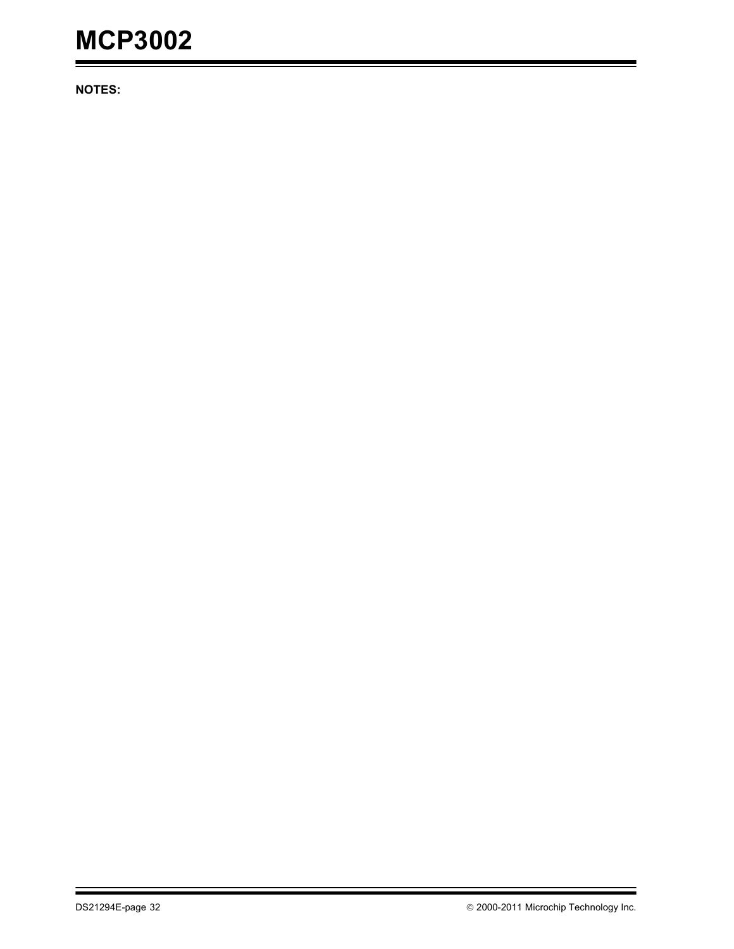# **MCP3002**

**NOTES:**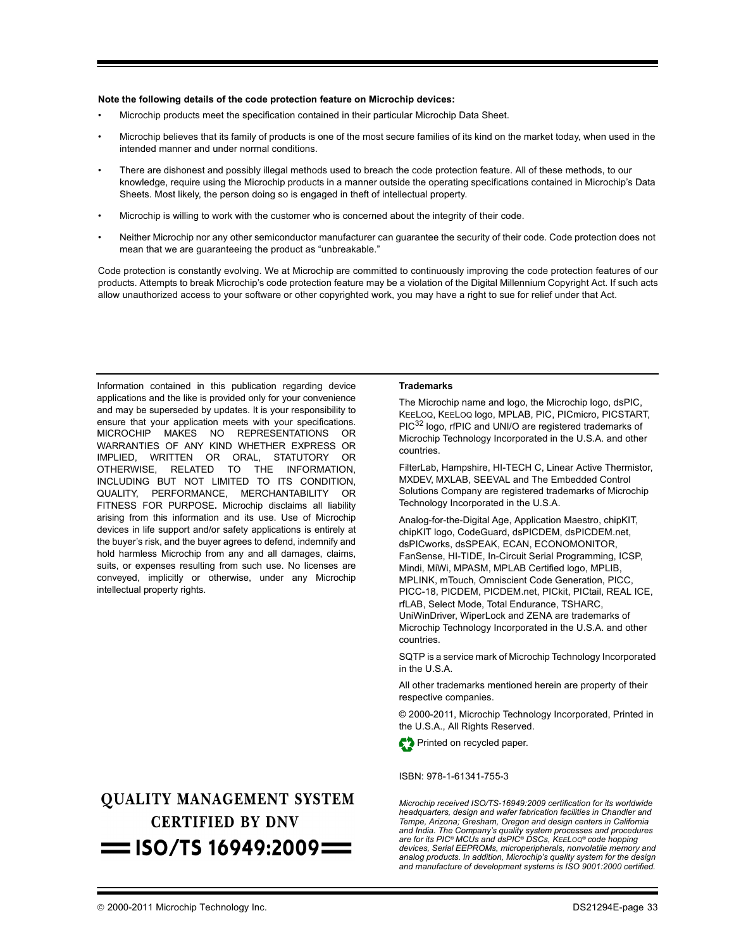#### **Note the following details of the code protection feature on Microchip devices:**

- Microchip products meet the specification contained in their particular Microchip Data Sheet.
- Microchip believes that its family of products is one of the most secure families of its kind on the market today, when used in the intended manner and under normal conditions.
- There are dishonest and possibly illegal methods used to breach the code protection feature. All of these methods, to our knowledge, require using the Microchip products in a manner outside the operating specifications contained in Microchip's Data Sheets. Most likely, the person doing so is engaged in theft of intellectual property.
- Microchip is willing to work with the customer who is concerned about the integrity of their code.
- Neither Microchip nor any other semiconductor manufacturer can guarantee the security of their code. Code protection does not mean that we are guaranteeing the product as "unbreakable."

Code protection is constantly evolving. We at Microchip are committed to continuously improving the code protection features of our products. Attempts to break Microchip's code protection feature may be a violation of the Digital Millennium Copyright Act. If such acts allow unauthorized access to your software or other copyrighted work, you may have a right to sue for relief under that Act.

Information contained in this publication regarding device applications and the like is provided only for your convenience and may be superseded by updates. It is your responsibility to ensure that your application meets with your specifications. MICROCHIP MAKES NO REPRESENTATIONS OR WARRANTIES OF ANY KIND WHETHER EXPRESS OR IMPLIED, WRITTEN OR ORAL, STATUTORY OR OTHERWISE, RELATED TO THE INFORMATION, INCLUDING BUT NOT LIMITED TO ITS CONDITION, QUALITY, PERFORMANCE, MERCHANTABILITY OR FITNESS FOR PURPOSE**.** Microchip disclaims all liability arising from this information and its use. Use of Microchip devices in life support and/or safety applications is entirely at the buyer's risk, and the buyer agrees to defend, indemnify and hold harmless Microchip from any and all damages, claims, suits, or expenses resulting from such use. No licenses are conveyed, implicitly or otherwise, under any Microchip intellectual property rights.

# **OUALITY MANAGEMENT SYSTEM CERTIFIED BY DNV**  $=$  ISO/TS 16949:2009 $=$

#### **Trademarks**

The Microchip name and logo, the Microchip logo, dsPIC, KEELOQ, KEELOQ logo, MPLAB, PIC, PICmicro, PICSTART, PIC<sup>32</sup> logo, rfPIC and UNI/O are registered trademarks of Microchip Technology Incorporated in the U.S.A. and other countries.

FilterLab, Hampshire, HI-TECH C, Linear Active Thermistor, MXDEV, MXLAB, SEEVAL and The Embedded Control Solutions Company are registered trademarks of Microchip Technology Incorporated in the U.S.A.

Analog-for-the-Digital Age, Application Maestro, chipKIT, chipKIT logo, CodeGuard, dsPICDEM, dsPICDEM.net, dsPICworks, dsSPEAK, ECAN, ECONOMONITOR, FanSense, HI-TIDE, In-Circuit Serial Programming, ICSP, Mindi, MiWi, MPASM, MPLAB Certified logo, MPLIB, MPLINK, mTouch, Omniscient Code Generation, PICC, PICC-18, PICDEM, PICDEM.net, PICkit, PICtail, REAL ICE, rfLAB, Select Mode, Total Endurance, TSHARC, UniWinDriver, WiperLock and ZENA are trademarks of Microchip Technology Incorporated in the U.S.A. and other countries.

SQTP is a service mark of Microchip Technology Incorporated in the U.S.A.

All other trademarks mentioned herein are property of their respective companies.

© 2000-2011, Microchip Technology Incorporated, Printed in the U.S.A., All Rights Reserved.



#### ISBN: 978-1-61341-755-3

*Microchip received ISO/TS-16949:2009 certification for its worldwide headquarters, design and wafer fabrication facilities in Chandler and Tempe, Arizona; Gresham, Oregon and design centers in California and India. The Company's quality system processes and procedures are for its PIC® MCUs and dsPIC® DSCs, KEELOQ® code hopping devices, Serial EEPROMs, microperipherals, nonvolatile memory and analog products. In addition, Microchip's quality system for the design and manufacture of development systems is ISO 9001:2000 certified.*